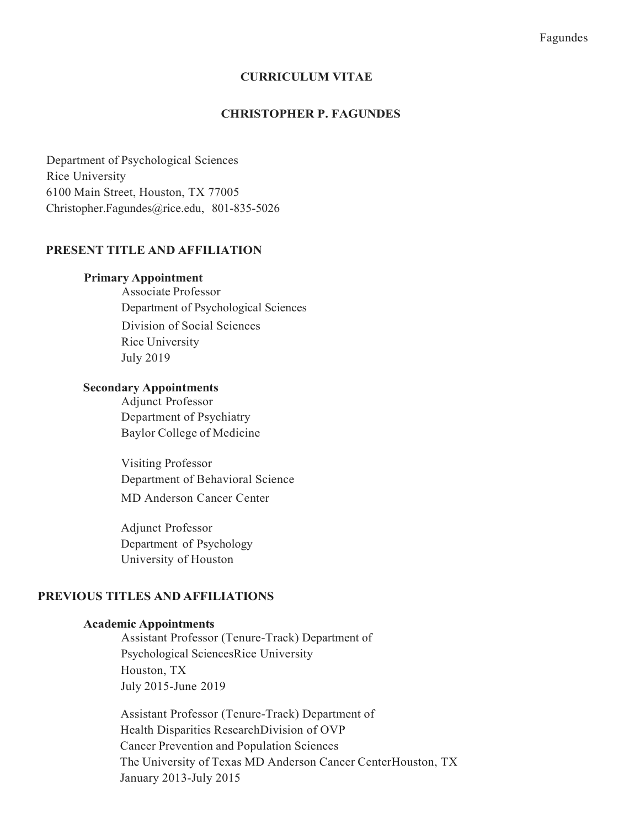#### CURRICULUM VITAE

#### CHRISTOPHER P. FAGUNDES

 Department of Psychological Sciences Rice University 6100 Main Street, Houston, TX 77005 [Christopher.Fagundes@rice.edu,](mailto:Christopher.Fagundes@rice.edu) 801-835-5026

## PRESENT TITLE AND AFFILIATION

#### Primary Appointment

 Department of Psychological Sciences Division of Social Sciences Rice University July 2019 Associate Professor

## Secondary Appointments

 Adjunct Professor Department of Psychiatry Baylor College of Medicine

 Department of Behavioral Science MD Anderson Cancer Center Visiting Professor

 Adjunct Professor Department of Psychology University of Houston

#### PREVIOUS TITLES AND AFFILIATIONS

#### Academic Appointments

 Assistant Professor (Tenure-Track) Department of Psychological SciencesRice University July 2015-June 2019 Houston, TX

 Assistant Professor (Tenure-Track) Department of Health Disparities ResearchDivision of OVP Cancer Prevention and Population Sciences The University of Texas MD Anderson Cancer CenterHouston, TX January 2013-July 2015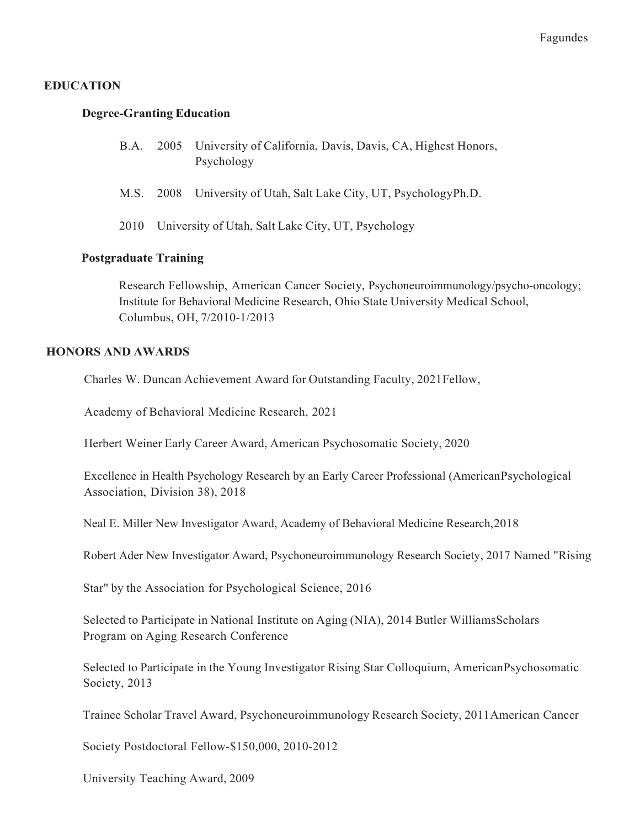# EDUCATION

## Degree-Granting Education

|  | B.A. 2005 University of California, Davis, Davis, CA, Highest Honors, |
|--|-----------------------------------------------------------------------|
|  | Psychology                                                            |

- M.S. 2008 University of Utah, Salt Lake City, UT, PsychologyPh.D.
- 2010 University of Utah, Salt Lake City, UT, Psychology

## Postgraduate Training

 Research Fellowship, American Cancer Society, Psychoneuroimmunology/psycho-oncology; Institute for Behavioral Medicine Research, Ohio State University Medical School, Columbus, OH, 7/2010-1/2013

#### HONORS AND AWARDS

Charles W. Duncan Achievement Award for Outstanding Faculty, 2021Fellow,

Academy of Behavioral Medicine Research, 2021

Herbert Weiner Early Career Award, American Psychosomatic Society, 2020

 Excellence in Health Psychology Research by an Early Career Professional (AmericanPsychological Association, Division 38), 2018

Neal E. Miller New Investigator Award, Academy of Behavioral Medicine Research,2018

Robert Ader New Investigator Award, Psychoneuroimmunology Research Society, 2017 Named "Rising

Star" by the Association for Psychological Science, 2016

 Selected to Participate in National Institute on Aging (NIA), 2014 Butler WilliamsScholars Program on Aging Research Conference

 Selected to Participate in the Young Investigator Rising Star Colloquium, AmericanPsychosomatic Society, 2013

Trainee Scholar Travel Award, Psychoneuroimmunology Research Society, 2011American Cancer

Society Postdoctoral Fellow-\$150,000, 2010-2012

University Teaching Award, 2009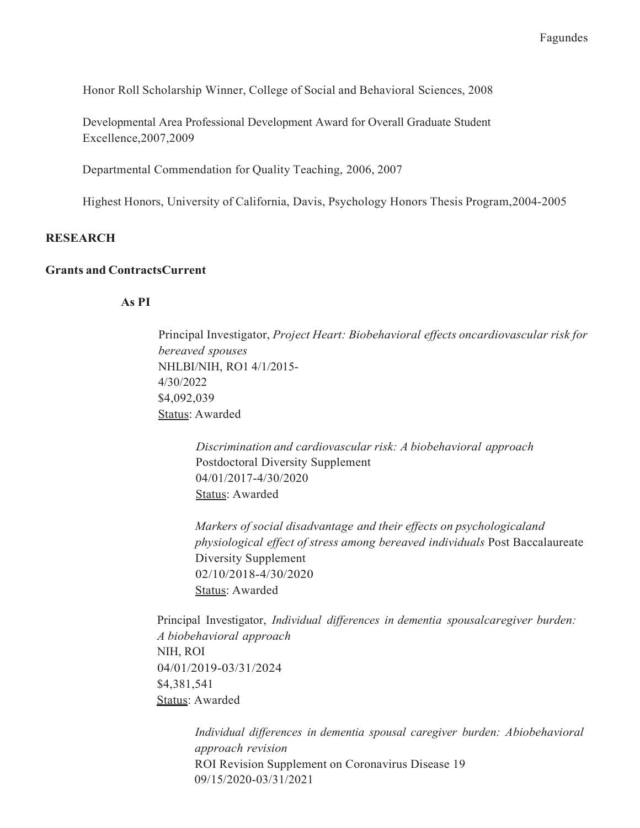Honor Roll Scholarship Winner, College of Social and Behavioral Sciences, 2008

 Developmental Area Professional Development Award for Overall Graduate Student Excellence,2007,2009

Departmental Commendation for Quality Teaching, 2006, 2007

Highest Honors, University of California, Davis, Psychology Honors Thesis Program,2004-2005

#### **RESEARCH**

#### Grants and ContractsCurrent

#### As PI

Principal Investigator, Project Heart: Biobehavioral effects oncardiovascular risk for NHLBI/NIH, RO1 4/1/2015 bereaved spouses 4/30/2022 \$4,092,039 Status: Awarded

 Discrimination and cardiovascular risk: A biobehavioral approach Postdoctoral Diversity Supplement 04/01/2017-4/30/2020 Status: Awarded

 Markers of social disadvantage and their effects on psychologicaland physiological effect of stress among bereaved individuals Post Baccalaureate Diversity Supplement 02/10/2018-4/30/2020 Status: Awarded

Principal Investigator, Individual differences in dementia spousalcaregiver burden: A biobehavioral approach NIH, ROI 04/01/2019-03/31/2024 \$4,381,541 Status: Awarded

 Individual differences in dementia spousal caregiver burden: Abiobehavioral ROI Revision Supplement on Coronavirus Disease 19 approach revision 09/15/2020-03/31/2021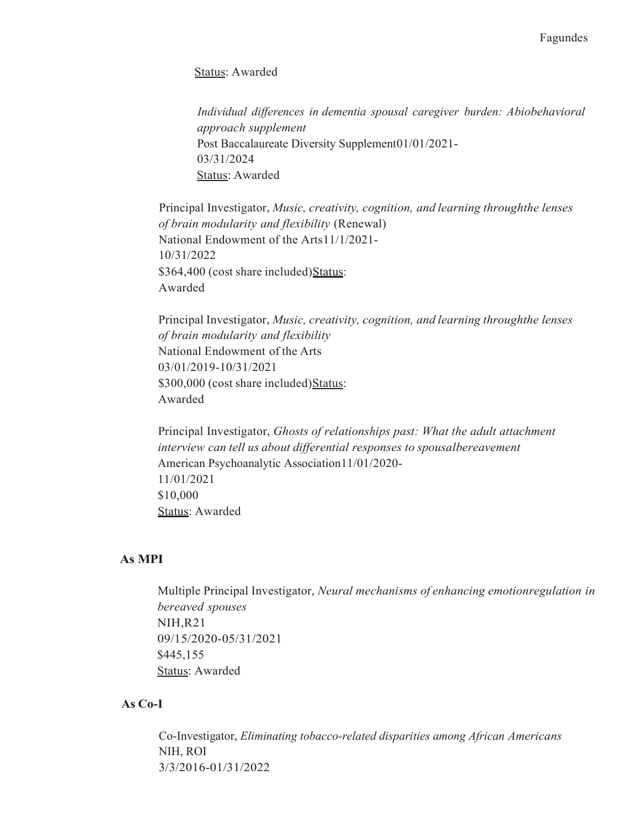#### Status: Awarded

 Individual differences in dementia spousal caregiver burden: Abiobehavioral Post Baccalaureate Diversity Supplement01/01/2021 approach supplement 03/31/2024 Status: Awarded

Principal Investigator, Music, creativity, cognition, and learning throughthe lenses of brain modularity and flexibility (Renewal) National Endowment of the Arts11/1/2021- \$364,400 (cost share included) Status: 10/31/2022 Awarded

Principal Investigator, Music, creativity, cognition, and learning throughthe lenses of brain modularity and flexibility National Endowment of the Arts \$300,000 (cost share included) Status: 03/01/2019-10/31/2021 Awarded

Principal Investigator, Ghosts of relationships past: What the adult attachment interview can tell us about differential responses to spousalbereavement American Psychoanalytic Association11/01/2020- 11/01/2021 \$10,000 Status: Awarded

# As MPI

 Multiple Principal Investigator, Neural mechanisms of enhancing emotionregulation in bereaved spouses NIH,R21 09/15/2020-05/31/2021 \$445,155 Status: Awarded

#### As Co-I

 Co-Investigator, Eliminating tobacco-related disparities among African Americans NIH, ROI 3/3/2016-01/31/2022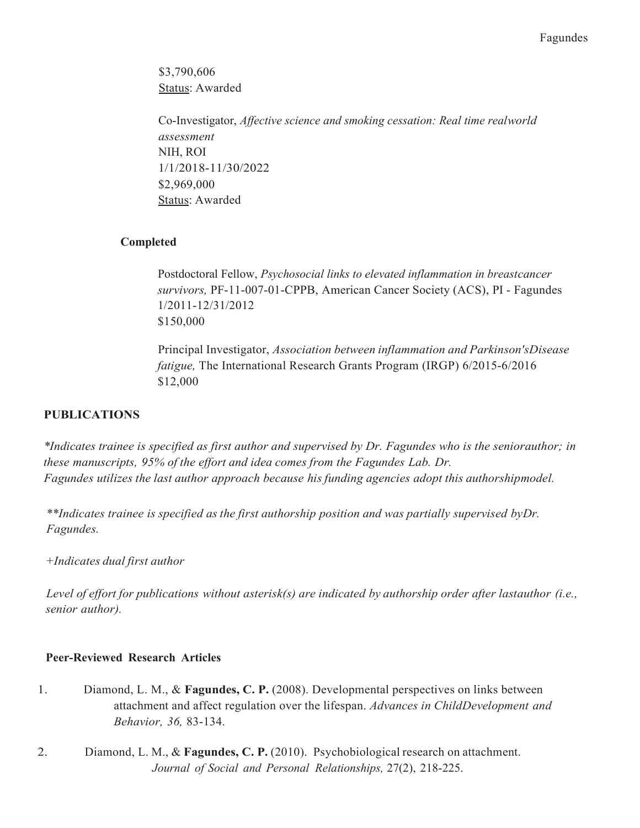\$3,790,606 Status: Awarded

 Co-Investigator, Affective science and smoking cessation: Real time realworld assessment NIH, ROI 1/1/2018-11/30/2022 \$2,969,000 Status: Awarded

# Completed

Postdoctoral Fellow, Psychosocial links to elevated inflammation in breastcancer survivors, PF-11-007-01-CPPB, American Cancer Society (ACS), PI - Fagundes 1/2011-12/31/2012 \$150,000

 Principal Investigator, Association between inflammation and Parkinson'sDisease fatigue, The International Research Grants Program (IRGP) 6/2015-6/2016 \$12,000

# PUBLICATIONS

 \*Indicates trainee is specified as first author and supervised by Dr. Fagundes who is the seniorauthor; in these manuscripts, 95% of the effort and idea comes from the Fagundes Lab. Dr. Fagundes utilizes the last author approach because his funding agencies adopt this authorshipmodel.

 \*\*Indicates trainee is specified asthe first authorship position and was partially supervised byDr. Fagundes.

+Indicates dual first author

Level of effort for publications without asterisk(s) are indicated by authorship order after lastauthor (i.e., senior author).

# Peer-Reviewed Research Articles

- 1. Diamond, L. M., & Fagundes, C. P. (2008). Developmental perspectives on links between attachment and affect regulation over the lifespan. Advances in ChildDevelopment and Behavior, 36, 83-134.
- Journal of Social and Personal Relationships, 27(2), 218-225.2. Diamond, L. M., & Fagundes, C. P. (2010). Psychobiological research on attachment.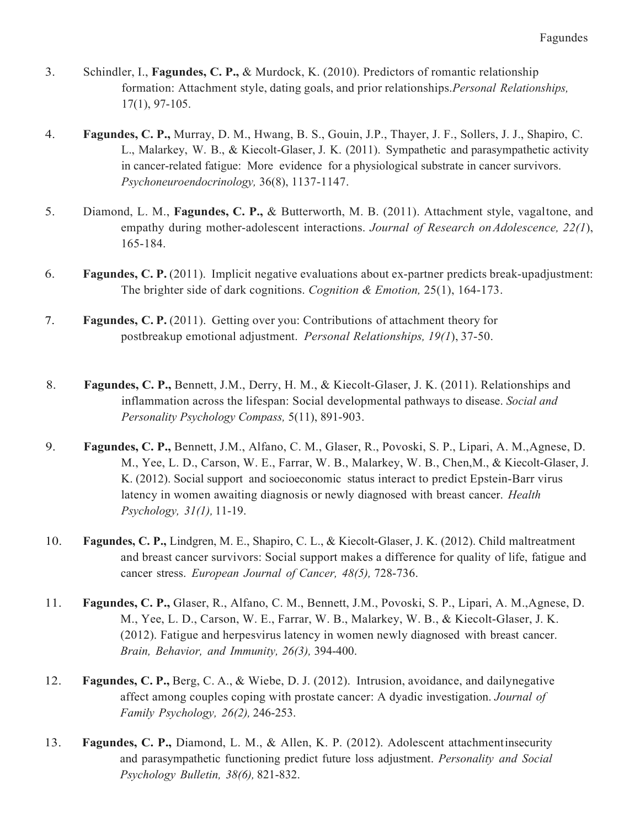- 3. Schindler, I., Fagundes, C. P., & Murdock, K. (2010). Predictors of romantic relationship formation: Attachment style, dating goals, and prior relationships. Personal Relationships, 17(1), 97-105.
- 4. Fagundes, C. P., Murray, D. M., Hwang, B. S., Gouin, J.P., Thayer, J. F., Sollers, J. J., Shapiro, C. L., Malarkey, W. B., & Kiecolt-Glaser, J. K. (2011). Sympathetic and parasympathetic activity in cancer-related fatigue: More evidence for a physiological substrate in cancer survivors. Psychoneuroendocrinology, 36(8), 1137-1147.
- 5. Diamond, L. M., Fagundes, C. P., & Butterworth, M. B. (2011). Attachment style, vagaltone, and empathy during mother-adolescent interactions. Journal of Research on Adolescence, 22(1), 165-184.
- 6. Fagundes, C. P. (2011). Implicit negative evaluations about ex-partner predicts break-upadjustment: The brighter side of dark cognitions. Cognition & Emotion, 25(1), 164-173.
- 7. Fagundes, C. P. (2011). Getting over you: Contributions of attachment theory for postbreakup emotional adjustment. Personal Relationships, 19(1), 37-50.
- 8. Fagundes, C. P., Bennett, J.M., Derry, H. M., & Kiecolt-Glaser, J. K. (2011). Relationships and inflammation across the lifespan: Social developmental pathways to disease. Social and Personality Psychology Compass, 5(11), 891-903.
- 9. Fagundes, C. P., Bennett, J.M., Alfano, C. M., Glaser, R., Povoski, S. P., Lipari, A. M., Agnese, D. M., Yee, L. D., Carson, W. E., Farrar, W. B., Malarkey, W. B., Chen,M., & Kiecolt-Glaser, J. K. (2012). Social support and socioeconomic status interact to predict Epstein-Barr virus latency in women awaiting diagnosis or newly diagnosed with breast cancer. Health Psychology, 31(1), 11-19.
- 10. Fagundes, C. P., Lindgren, M. E., Shapiro, C. L., & Kiecolt-Glaser, J. K. (2012). Child maltreatment and breast cancer survivors: Social support makes a difference for quality of life, fatigue and cancer stress. European Journal of Cancer, 48(5), 728-736.
- 11. Fagundes, C. P., Glaser, R., Alfano, C. M., Bennett, J.M., Povoski, S. P., Lipari, A. M.,Agnese, D. M., Yee, L. D., Carson, W. E., Farrar, W. B., Malarkey, W. B., & Kiecolt-Glaser, J. K. (2012). Fatigue and herpesvirus latency in women newly diagnosed with breast cancer. Brain, Behavior, and Immunity, 26(3), 394-400.
- 12. Fagundes, C. P., Berg, C. A., & Wiebe, D. J. (2012). Intrusion, avoidance, and dailynegative affect among couples coping with prostate cancer: A dyadic investigation. Journal of Family Psychology, 26(2), 246-253.
- 13. Fagundes, C. P., Diamond, L. M., & Allen, K. P. (2012). Adolescent attachmentinsecurity and parasympathetic functioning predict future loss adjustment. Personality and Social Psychology Bulletin, 38(6), 821-832.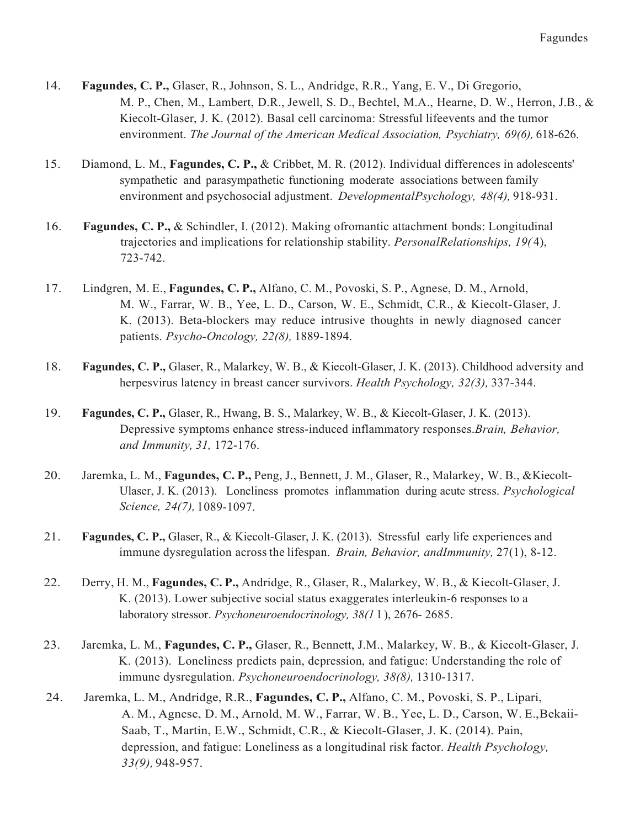- 14. Fagundes, C. P., Glaser, R., Johnson, S. L., Andridge, R.R., Yang, E. V., Di Gregorio, M. P., Chen, M., Lambert, D.R., Jewell, S. D., Bechtel, M.A., Hearne, D. W., Herron, J.B., & Kiecolt-Glaser, J. K. (2012). Basal cell carcinoma: Stressful lifeevents and the tumor environment. The Journal of the American Medical Association, Psychiatry, 69(6), 618-626.
- 15. Diamond, L. M., Fagundes, C. P., & Cribbet, M. R. (2012). Individual differences in adolescents' sympathetic and parasympathetic functioning moderate associations between family environment and psychosocial adjustment. DevelopmentalPsychology, 48(4), 918-931.
- 16. Fagundes, C. P., & Schindler, I. (2012). Making ofromantic attachment bonds: Longitudinal trajectories and implications for relationship stability. PersonalRelationships, 19(4), 723-742.
- 17. Lindgren, M. E., Fagundes, C. P., Alfano, C. M., Povoski, S. P., Agnese, D. M., Arnold, M. W., Farrar, W. B., Yee, L. D., Carson, W. E., Schmidt, C.R., & Kiecolt-Glaser, J. K. (2013). Beta-blockers may reduce intrusive thoughts in newly diagnosed cancer patients. Psycho-Oncology, 22(8), 1889-1894.
- 18. Fagundes, C. P., Glaser, R., Malarkey, W. B., & Kiecolt-Glaser, J. K. (2013). Childhood adversity and herpesvirus latency in breast cancer survivors. Health Psychology, 32(3), 337-344.
- 19. Fagundes, C. P., Glaser, R., Hwang, B. S., Malarkey, W. B., & Kiecolt-Glaser, J. K. (2013). Depressive symptoms enhance stress-induced inflammatory responses. Brain, Behavior, and Immunity, 31, 172-176.
- 20. Jaremka, L. M., Fagundes, C. P., Peng, J., Bennett, J. M., Glaser, R., Malarkey, W. B., &Kiecolt-Ulaser, J. K. (2013). Loneliness promotes inflammation during acute stress. Psychological Science, 24(7), 1089-1097.
- 21. Fagundes, C. P., Glaser, R., & Kiecolt-Glaser, J. K. (2013). Stressful early life experiences and immune dysregulation across the lifespan. Brain, Behavior, andImmunity, 27(1), 8-12.
- 22. Derry, H. M., Fagundes, C. P., Andridge, R., Glaser, R., Malarkey, W. B., & Kiecolt-Glaser, J. K. (2013). Lower subjective social status exaggerates interleukin-6 responses to a laboratory stressor. Psychoneuroendocrinology, 38(11), 2676-2685.
- 23. Jaremka, L. M., Fagundes, C. P., Glaser, R., Bennett, J.M., Malarkey, W. B., & Kiecolt-Glaser, J. K. (2013). Loneliness predicts pain, depression, and fatigue: Understanding the role of immune dysregulation. Psychoneuroendocrinology, 38(8), 1310-1317.
- 24. Jaremka, L. M., Andridge, R.R., Fagundes, C.P., Alfano, C. M., Povoski, S. P., Lipari, A. M., Agnese, D. M., Arnold, M. W., Farrar, W. B., Yee, L. D., Carson, W. E.,Bekaii- Saab, T., Martin, E.W., Schmidt, C.R., & Kiecolt-Glaser, J. K. (2014). Pain, depression, and fatigue: Loneliness as a longitudinal risk factor. Health Psychology, 33(9), 948-957.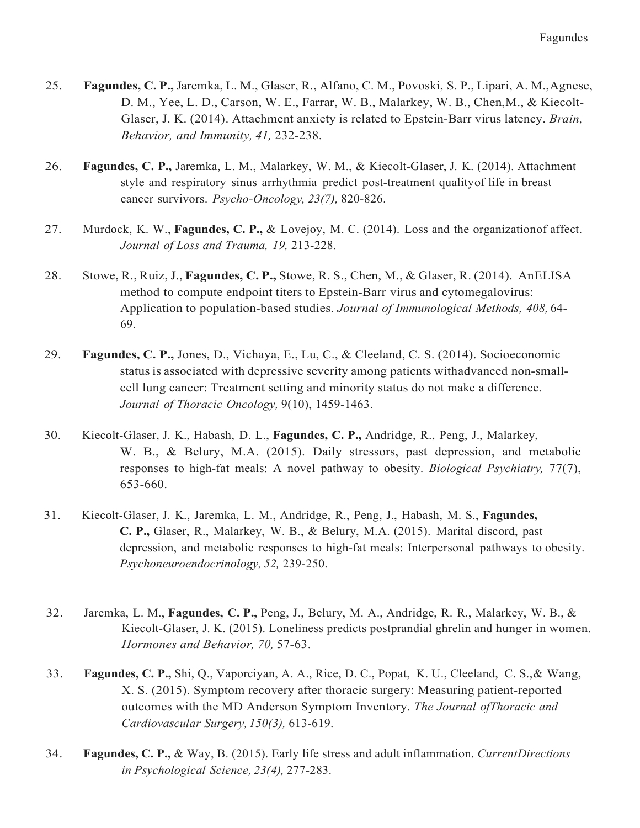- 25. Fagundes, C. P., Jaremka, L. M., Glaser, R., Alfano, C. M., Povoski, S. P., Lipari, A. M., Agnese, D. M., Yee, L. D., Carson, W. E., Farrar, W. B., Malarkey, W. B., Chen,M., & Kiecolt-Glaser, J. K. (2014). Attachment anxiety is related to Epstein-Barr virus latency. Brain, Behavior, and Immunity, 41, 232-238.
- 26. Fagundes, C. P., Jaremka, L. M., Malarkey, W. M., & Kiecolt-Glaser, J. K. (2014). Attachment style and respiratory sinus arrhythmia predict post-treatment qualityof life in breast cancer survivors. Psycho-Oncology, 23(7), 820-826.
- 27. Murdock, K. W., Fagundes, C. P., & Lovejoy, M. C. (2014). Loss and the organizationof affect. Journal of Loss and Trauma, 19, 213-228.
- 28. Stowe, R., Ruiz, J., Fagundes, C. P., Stowe, R. S., Chen, M., & Glaser, R. (2014). AnELISA method to compute endpoint titers to Epstein-Barr virus and cytomegalovirus: Application to population-based studies. Journal of Immunological Methods, 408, 64-69.
- 29. Fagundes, C. P., Jones, D., Vichaya, E., Lu, C., & Cleeland, C. S. (2014). Socioeconomic status is associated with depressive severity among patients withadvanced non-small- cell lung cancer: Treatment setting and minority status do not make a difference. Journal of Thoracic Oncology, 9(10), 1459-1463.
- 30. Kiecolt-Glaser, J. K., Habash, D. L., Fagundes, C. P., Andridge, R., Peng, J., Malarkey, W. B., & Belury, M.A. (2015). Daily stressors, past depression, and metabolic responses to high-fat meals: A novel pathway to obesity. Biological Psychiatry, 77(7), 653-660.
- 31. Kiecolt-Glaser, J. K., Jaremka, L. M., Andridge, R., Peng, J., Habash, M. S., Fagundes, C. P., Glaser, R., Malarkey, W. B., & Belury, M.A. (2015). Marital discord, past depression, and metabolic responses to high-fat meals: Interpersonal pathways to obesity. Psychoneuroendocrinology, 52, 239-250.
- 32. Jaremka, L. M., Fagundes, C. P., Peng, J., Belury, M. A., Andridge, R. R., Malarkey, W. B., & Kiecolt-Glaser, J. K. (2015). Loneliness predicts postprandial ghrelin and hunger in women. Hormones and Behavior, 70, 57-63.
- 33. Fagundes, C. P., Shi, Q., Vaporciyan, A. A., Rice, D. C., Popat, K. U., Cleeland, C. S., & Wang, X. S. (2015). Symptom recovery after thoracic surgery: Measuring patient-reported outcomes with the MD Anderson Symptom Inventory. The Journal ofThoracic and Cardiovascular Surgery, 150(3), 613-619.
- 34. Fagundes, C. P., & Way, B. (2015). Early life stress and adult inflammation. CurrentDirections in Psychological Science, 23(4), 277-283.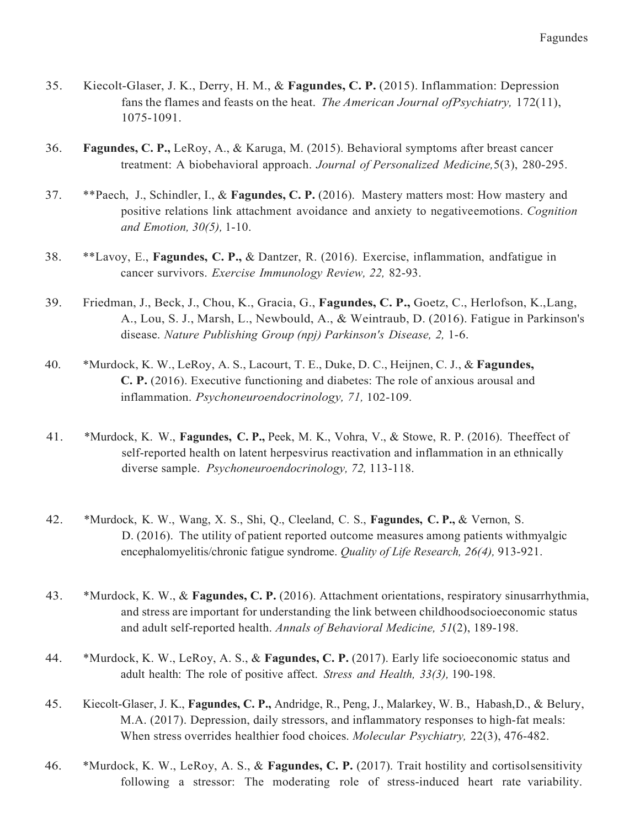- 35. Kiecolt-Glaser, J. K., Derry, H. M., & Fagundes, C. P. (2015). Inflammation: Depression fans the flames and feasts on the heat. The American Journal of Psychiatry, 172(11), 1075-1091.
- 36. Fagundes, C. P., LeRoy, A., & Karuga, M. (2015). Behavioral symptoms after breast cancer treatment: A biobehavioral approach. Journal of Personalized Medicine, 5(3), 280-295.
- 37. \*\*Paech, J., Schindler, I., & Fagundes, C. P. (2016). Mastery matters most: How mastery and positive relations link attachment avoidance and anxiety to negativeemotions. Cognition and Emotion, 30(5), 1-10.
- 38. \*\*Lavoy, E., Fagundes, C. P., & Dantzer, R. (2016). Exercise, inflammation, andfatigue in cancer survivors. Exercise Immunology Review, 22, 82-93.
- 39. Friedman, J., Beck, J., Chou, K., Gracia, G., Fagundes, C. P., Goetz, C., Herlofson, K., Lang, A., Lou, S. J., Marsh, L., Newbould, A., & Weintraub, D. (2016). Fatigue in Parkinson's disease. Nature Publishing Group (npj) Parkinson's Disease, 2, 1-6.
- 40. \*Murdock, K. W., LeRoy, A. S., Lacourt, T. E., Duke, D. C., Heijnen, C. J., & Fagundes, C. P. (2016). Executive functioning and diabetes: The role of anxious arousal and inflammation. Psychoneuroendocrinology, 71, 102-109.
- 41. \*Murdock, K. W., Fagundes, C. P., Peek, M. K., Vohra, V., & Stowe, R. P. (2016). Theeffect of self-reported health on latent herpesvirus reactivation and inflammation in an ethnically diverse sample. Psychoneuroendocrinology, 72, 113-118.
- 42. \*Murdock, K. W., Wang, X. S., Shi, Q., Cleeland, C. S., Fagundes, C. P., & Vernon, S. D. (2016). The utility of patient reported outcome measures among patients withmyalgic encephalomyelitis/chronic fatigue syndrome. Quality of Life Research, 26(4), 913-921.
- 43. \*Murdock, K. W., & Fagundes, C. P. (2016). Attachment orientations, respiratory sinusarrhythmia, and stress are important for understanding the link between childhoodsocioeconomic status and adult self-reported health. Annals of Behavioral Medicine, 51(2), 189-198.
- 44. \*Murdock, K. W., LeRoy, A. S., & Fagundes, C. P. (2017). Early life socioeconomic status and adult health: The role of positive affect. Stress and Health, 33(3), 190-198.
- 45. Kiecolt-Glaser, J. K., Fagundes, C. P., Andridge, R., Peng, J., Malarkey, W. B., Habash, D., & Belury, M.A. (2017). Depression, daily stressors, and inflammatory responses to high-fat meals: When stress overrides healthier food choices. Molecular Psychiatry, 22(3), 476-482.
- 46. \*Murdock, K. W., LeRoy, A. S., & Fagundes, C. P. (2017). Trait hostility and cortisolsensitivity following a stressor: The moderating role of stress-induced heart rate variability.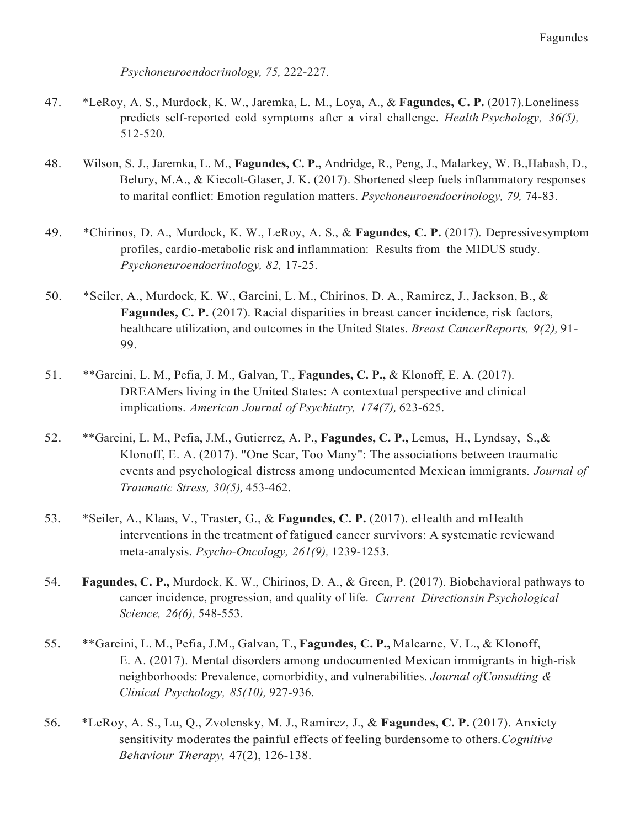Psychoneuroendocrinology, 75, 222-227.

- 47. \*LeRoy, A. S., Murdock, K. W., Jaremka, L. M., Loya, A., & Fagundes, C. P. (2017). Loneliness predicts self-reported cold symptoms after a viral challenge. Health Psychology, 36(5), 512-520.
- 48. Wilson, S. J., Jaremka, L. M., Fagundes, C. P., Andridge, R., Peng, J., Malarkey, W. B., Habash, D., Belury, M.A., & Kiecolt-Glaser, J. K. (2017). Shortened sleep fuels inflammatory responses to marital conflict: Emotion regulation matters. Psychoneuroendocrinology, 79, 74-83.
- 49. \* Chirinos, D. A., Murdock, K. W., LeRoy, A. S., & Fagundes, C. P. (2017). Depressivesymptom profiles, cardio-metabolic risk and inflammation: Results from the MIDUS study. Psychoneuroendocrinology, 82, 17-25.
- 50. \*Seiler, A., Murdock, K. W., Garcini, L. M., Chirinos, D. A., Ramirez, J., Jackson, B., & Fagundes, C. P. (2017). Racial disparities in breast cancer incidence, risk factors, healthcare utilization, and outcomes in the United States. Breast CancerReports, 9(2), 91-99.
- 51. \*\* Garcini, L. M., Pefia, J. M., Galvan, T., Fagundes, C. P., & Klonoff, E. A. (2017). DREAMers living in the United States: A contextual perspective and clinical implications. American Journal of Psychiatry, 174(7), 623-625.
- 52. \*\* Garcini, L. M., Pefia, J.M., Gutierrez, A. P., Fagundes, C. P., Lemus, H., Lyndsay, S., & Klonoff, E. A. (2017). "One Scar, Too Many": The associations between traumatic events and psychological distress among undocumented Mexican immigrants. Journal of Traumatic Stress, 30(5), 453-462.
- 53. \*Seiler, A., Klaas, V., Traster, G., & Fagundes, C. P. (2017). eHealth and mHealth interventions in the treatment of fatigued cancer survivors: A systematic reviewand meta-analysis. Psycho-Oncology, 261(9), 1239-1253.
- 54. Fagundes, C. P., Murdock, K. W., Chirinos, D. A., & Green, P. (2017). Biobehavioral pathways to cancer incidence, progression, and quality of life. Current Directionsin Psychological Science, 26(6), 548-553.
- 55. \*\*Garcini, L. M., Pefia, J.M., Galvan, T., Fagundes, C. P., Malcarne, V. L., & Klonoff, E. A. (2017). Mental disorders among undocumented Mexican immigrants in high-risk neighborhoods: Prevalence, comorbidity, and vulnerabilities. Journal of Consulting & Clinical Psychology, 85(10), 927-936.
- 56. \*LeRoy, A. S., Lu, Q., Zvolensky, M. J., Ramirez, J., & Fagundes, C. P. (2017). Anxiety sensitivity moderates the painful effects of feeling burdensome to others. Cognitive Behaviour Therapy, 47(2), 126-138.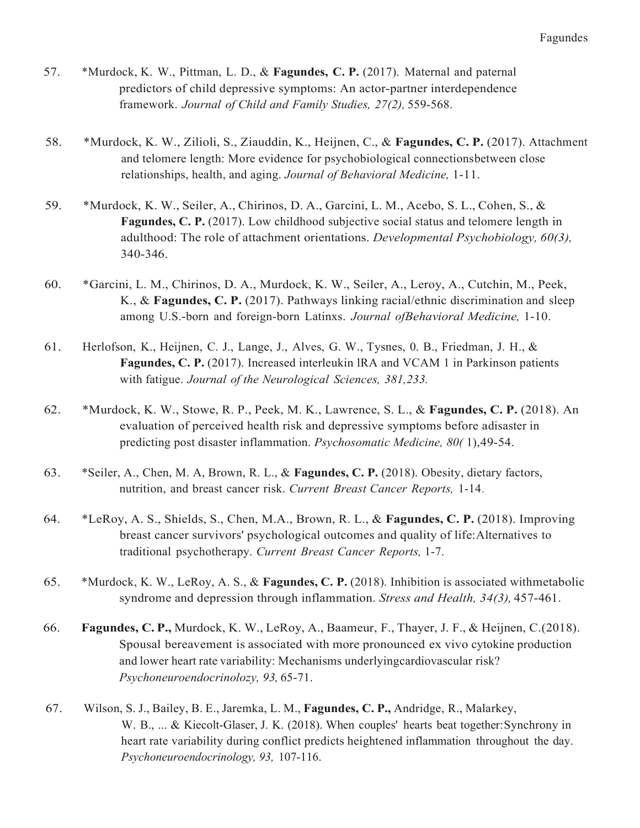- 57. \*Murdock, K. W., Pittman, L. D., & Fagundes, C. P. (2017). Maternal and paternal predictors of child depressive symptoms: An actor-partner interdependence framework. Journal of Child and Family Studies, 27(2), 559-568.
- 58. \*Murdock, K. W., Zilioli, S., Ziauddin, K., Heijnen, C., & Fagundes, C. P. (2017). Attachment and telomere length: More evidence for psychobiological connectionsbetween close relationships, health, and aging. Journal of Behavioral Medicine, 1-11.
- 59. \*Murdock, K. W., Seiler, A., Chirinos, D. A., Garcini, L. M., Acebo, S. L., Cohen, S., & Fagundes, C. P. (2017). Low childhood subjective social status and telomere length in adulthood: The role of attachment orientations. Developmental Psychobiology, 60(3), 340-346.
- 60. \*Garcini, L. M., Chirinos, D. A., Murdock, K. W., Seiler, A., Leroy, A., Cutchin, M., Peek, K., & Fagundes, C. P. (2017). Pathways linking racial/ethnic discrimination and sleep among U.S.-born and foreign-born Latinxs. Journal ofBehavioral Medicine, 1-10.
- 61. Herlofson, K., Heijnen, C. J., Lange, J., Alves, G. W., Tysnes, 0. B., Friedman, J. H., & Fagundes, C. P. (2017). Increased interleukin lRA and VCAM 1 in Parkinson patients with fatigue. Journal of the Neurological Sciences, 381,233.
- 62. \* Murdock, K. W., Stowe, R. P., Peek, M. K., Lawrence, S. L., & Fagundes, C. P. (2018). An evaluation of perceived health risk and depressive symptoms before adisaster in predicting post disaster inflammation. Psychosomatic Medicine, 80(1),49-54.
- 63. \* Seiler, A., Chen, M. A, Brown, R. L., & Fagundes, C. P. (2018). Obesity, dietary factors, nutrition, and breast cancer risk. Current Breast Cancer Reports, 1-14.
- 64. \*LeRoy, A. S., Shields, S., Chen, M.A., Brown, R. L., & Fagundes, C. P. (2018). Improving breast cancer survivors' psychological outcomes and quality of life:Alternatives to traditional psychotherapy. Current Breast Cancer Reports, 1-7.
- 65. \*Murdock, K. W., LeRoy, A. S., & Fagundes, C. P. (2018). Inhibition is associated withmetabolic syndrome and depression through inflammation. Stress and Health, 34(3), 457-461.
- 66. Fagundes, C.P., Murdock, K. W., LeRoy, A., Baameur, F., Thayer, J. F., & Heijnen, C.(2018). Spousal bereavement is associated with more pronounced ex vivo cytokine production and lower heart rate variability: Mechanisms underlyingcardiovascular risk? Psychoneuroendocrinolozy, 93, 65-71.
- 67. Wilson, S. J., Bailey, B. E., Jaremka, L. M., Fagundes, C. P., Andridge, R., Malarkey, W. B., ... & Kiecolt-Glaser, J. K. (2018). When couples' hearts beat together:Synchrony in heart rate variability during conflict predicts heightened inflammation throughout the day. Psychoneuroendocrinology, 93, 107-116.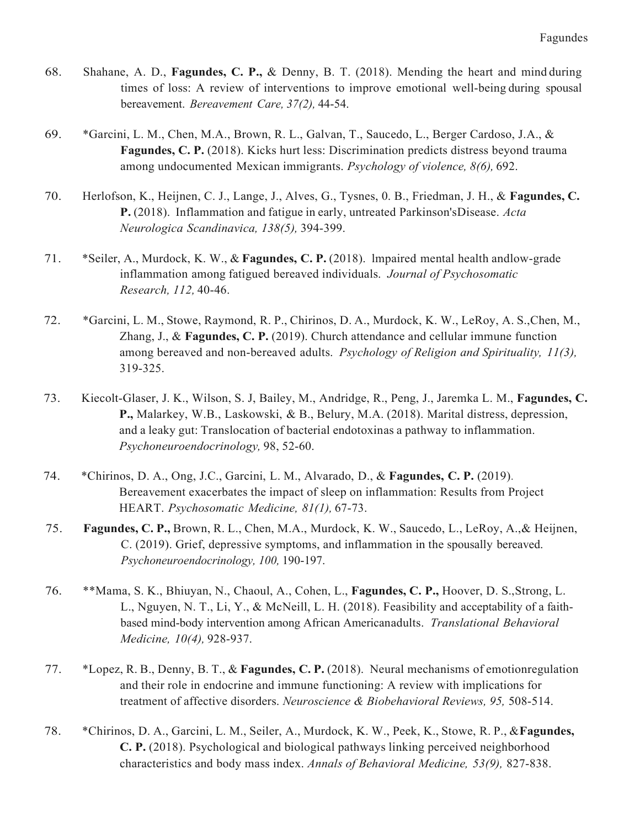- 68. Shahane, A. D., Fagundes, C. P., & Denny, B. T. (2018). Mending the heart and mind during times of loss: A review of interventions to improve emotional well-being during spousal bereavement. Bereavement Care, 37(2), 44-54.
- 69. \*Garcini, L. M., Chen, M.A., Brown, R. L., Galvan, T., Saucedo, L., Berger Cardoso, J.A., & Fagundes, C. P. (2018). Kicks hurt less: Discrimination predicts distress beyond trauma among undocumented Mexican immigrants. Psychology of violence, 8(6), 692.
- 70. Herlofson, K., Heijnen, C. J., Lange, J., Alves, G., Tysnes, 0. B., Friedman, J. H., & Fagundes, C. P. (2018). Inflammation and fatigue in early, untreated Parkinson'sDisease. Acta Neurologica Scandinavica, 138(5), 394-399.
- 71. \*Seiler, A., Murdock, K. W., & Fagundes, C. P. (2018). Impaired mental health andlow-grade inflammation among fatigued bereaved individuals. Journal of Psychosomatic Research, 112, 40-46.
- 72. \*Garcini, L. M., Stowe, Raymond, R. P., Chirinos, D. A., Murdock, K. W., LeRoy, A. S.,Chen, M., Zhang, J., & Fagundes, C. P. (2019). Church attendance and cellular immune function among bereaved and non-bereaved adults. Psychology of Religion and Spirituality, 11(3), 319-325.
- 73. Kiecolt-Glaser, J. K., Wilson, S. J, Bailey, M., Andridge, R., Peng, J., Jaremka L. M., Fagundes, C. P., Malarkey, W.B., Laskowski, & B., Belury, M.A. (2018). Marital distress, depression, and a leaky gut: Translocation of bacterial endotoxinas a pathway to inflammation. Psychoneuroendocrinology, 98, 52-60.
- 74. \* Chirinos, D. A., Ong, J.C., Garcini, L. M., Alvarado, D., & Fagundes, C. P. (2019). Bereavement exacerbates the impact of sleep on inflammation: Results from Project HEART. Psychosomatic Medicine, 81(1), 67-73.
- 75. Fagundes, C. P., Brown, R. L., Chen, M.A., Murdock, K. W., Saucedo, L., LeRoy, A.,& Heijnen, C. (2019). Grief, depressive symptoms, and inflammation in the spousally bereaved. Psychoneuroendocrinology, 100, 190-197.
- 76. \*\*Mama, S. K., Bhiuyan, N., Chaoul, A., Cohen, L., Fagundes, C. P., Hoover, D. S., Strong, L. L., Nguyen, N. T., Li, Y., & McNeill, L. H. (2018). Feasibility and acceptability of a faithbased mind-body intervention among African Americanadults. Translational Behavioral Medicine, 10(4), 928-937.
- 77. \*Lopez, R. B., Denny, B. T., & Fagundes, C. P. (2018). Neural mechanisms of emotionregulation and their role in endocrine and immune functioning: A review with implications for treatment of affective disorders. Neuroscience & Biobehavioral Reviews, 95, 508-514.
- 78. \* Chirinos, D. A., Garcini, L. M., Seiler, A., Murdock, K. W., Peek, K., Stowe, R. P., & Fagundes, C. P. (2018). Psychological and biological pathways linking perceived neighborhood characteristics and body mass index. Annals of Behavioral Medicine, 53(9), 827-838.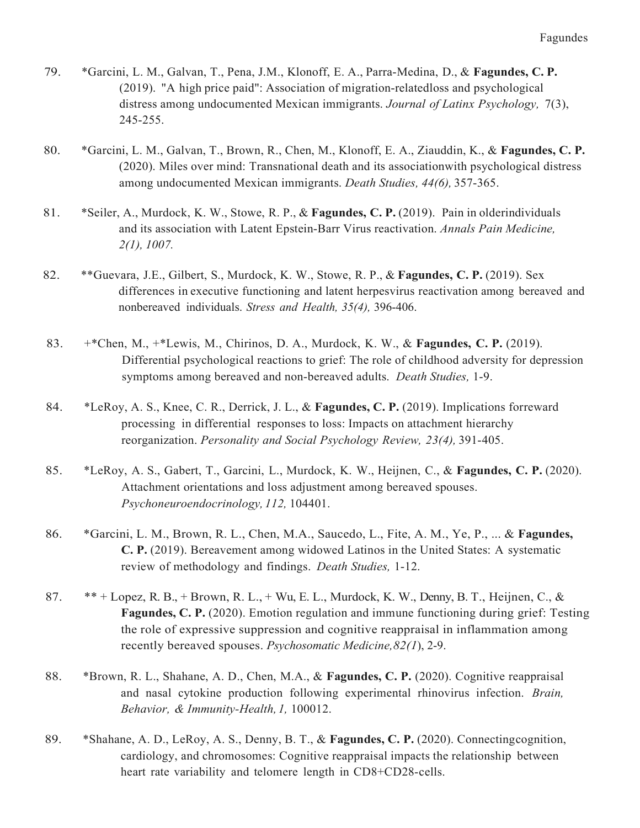- 79. \* Garcini, L. M., Galvan, T., Pena, J.M., Klonoff, E. A., Parra-Medina, D., & Fagundes, C. P. (2019). "A high price paid": Association of migration-relatedloss and psychological distress among undocumented Mexican immigrants. Journal of Latinx Psychology, 7(3), 245-255.
- 80. \* Garcini, L. M., Galvan, T., Brown, R., Chen, M., Klonoff, E. A., Ziauddin, K., & Fagundes, C. P. (2020). Miles over mind: Transnational death and its associationwith psychological distress among undocumented Mexican immigrants. Death Studies, 44(6), 357-365.
- 81. \* Seiler, A., Murdock, K. W., Stowe, R. P., & Fagundes, C. P. (2019). Pain in olderindividuals and its association with Latent Epstein-Barr Virus reactivation. Annals Pain Medicine, 2(1), 1007.
- 82. \*\* Guevara, J.E., Gilbert, S., Murdock, K. W., Stowe, R. P., & Fagundes, C. P. (2019). Sex differences in executive functioning and latent herpesvirus reactivation among bereaved and nonbereaved individuals. Stress and Health, 35(4), 396-406.
- 83. +\*Chen, M., +\*Lewis, M., Chirinos, D. A., Murdock, K. W., & Fagundes, C. P. (2019). Differential psychological reactions to grief: The role of childhood adversity for depression symptoms among bereaved and non-bereaved adults. Death Studies, 1-9.
- 84. \*LeRoy, A. S., Knee, C. R., Derrick, J. L., & Fagundes, C. P. (2019). Implications forreward processing in differential responses to loss: Impacts on attachment hierarchy reorganization. Personality and Social Psychology Review, 23(4), 391-405.
- 85. \*LeRoy, A. S., Gabert, T., Garcini, L., Murdock, K. W., Heijnen, C., & Fagundes, C. P. (2020). Attachment orientations and loss adjustment among bereaved spouses. Psychoneuroendocrinology, 112, 104401.
- 86. \* Garcini, L. M., Brown, R. L., Chen, M.A., Saucedo, L., Fite, A. M., Ye, P., ... & Fagundes, C. P. (2019). Bereavement among widowed Latinos in the United States: A systematic review of methodology and findings. Death Studies, 1-12.
- 87. \*\* + Lopez, R. B., + Brown, R. L., + Wu, E. L., Murdock, K. W., Denny, B. T., Heijnen, C., & Fagundes, C. P. (2020). Emotion regulation and immune functioning during grief: Testing the role of expressive suppression and cognitive reappraisal in inflammation among recently bereaved spouses. Psychosomatic Medicine, 82(1), 2-9.
- 88. \*Brown, R. L., Shahane, A. D., Chen, M.A., & Fagundes, C. P. (2020). Cognitive reappraisal and nasal cytokine production following experimental rhinovirus infection. Brain, Behavior, & Immunity-Health, 1, 100012.
- 89. \* Shahane, A. D., LeRoy, A. S., Denny, B. T., & Fagundes, C. P. (2020). Connecting cognition, cardiology, and chromosomes: Cognitive reappraisal impacts the relationship between heart rate variability and telomere length in CD8+CD28-cells.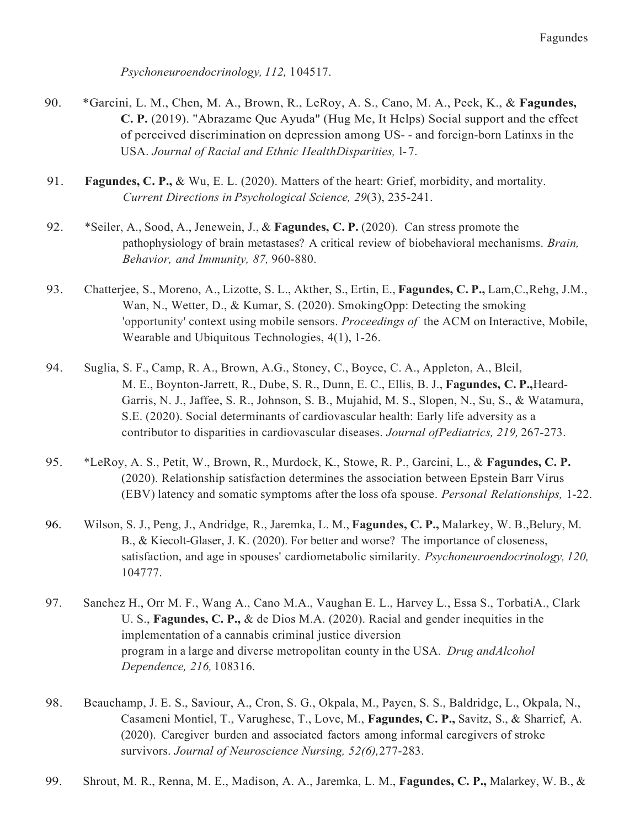Psychoneuroendocrinology, 112, l 04517.

- 90. \* Garcini, L. M., Chen, M. A., Brown, R., LeRoy, A. S., Cano, M. A., Peek, K., & Fagundes, C. P. (2019). "Abrazame Que Ayuda" (Hug Me, It Helps) Social support and the effect of perceived discrimination on depression among US- - and foreign-born Latinxs in the USA. Journal of Racial and Ethnic HealthDisparities, l- 7.
- 91. Fagundes, C. P., & Wu, E. L. (2020). Matters of the heart: Grief, morbidity, and mortality. Current Directions in Psychological Science, 29(3), 235-241.
- 92. \*Seiler, A., Sood, A., Jenewein, J., & Fagundes, C. P. (2020). Can stress promote the pathophysiology of brain metastases? A critical review of biobehavioral mechanisms. Brain, Behavior, and Immunity, 87, 960-880.
- 93. Chatterjee, S., Moreno, A., Lizotte, S. L., Akther, S., Ertin, E., Fagundes, C. P., Lam, C., Rehg, J.M., Wan, N., Wetter, D., & Kumar, S. (2020). SmokingOpp: Detecting the smoking 'opportunity' context using mobile sensors. Proceedings of the ACM on Interactive, Mobile, Wearable and Ubiquitous Technologies, 4(1), 1-26.
- 94. Suglia, S. F., Camp, R. A., Brown, A.G., Stoney, C., Boyce, C. A., Appleton, A., Bleil, M. E., Boynton-Jarrett, R., Dube, S. R., Dunn, E. C., Ellis, B. J., Fagundes, C. P., Heard- Garris, N. J., Jaffee, S. R., Johnson, S. B., Mujahid, M. S., Slopen, N., Su, S., & Watamura, S.E. (2020). Social determinants of cardiovascular health: Early life adversity as a contributor to disparities in cardiovascular diseases. Journal ofPediatrics, 219, 267-273.
- 95. \*LeRoy, A. S., Petit, W., Brown, R., Murdock, K., Stowe, R. P., Garcini, L., & Fagundes, C. P. (2020). Relationship satisfaction determines the association between Epstein Barr Virus (EBV) latency and somatic symptoms after the loss ofa spouse. Personal Relationships, 1-22.
- 96. Wilson, S. J., Peng, J., Andridge, R., Jaremka, L. M., Fagundes, C. P., Malarkey, W. B., Belury, M. B., & Kiecolt-Glaser, J. K. (2020). For better and worse? The importance of closeness, satisfaction, and age in spouses' cardiometabolic similarity. Psychoneuroendocrinology, 120, 104777.
- 97. Sanchez H., Orr M. F., Wang A., Cano M.A., Vaughan E. L., Harvey L., Essa S., TorbatiA., Clark U. S., Fagundes, C. P., & de Dios M.A. (2020). Racial and gender inequities in the implementation of a cannabis criminal justice diversion program in a large and diverse metropolitan county in the USA. Drug andAlcohol Dependence, 216, l 08316.
- 98. Beauchamp, J. E. S., Saviour, A., Cron, S. G., Okpala, M., Payen, S. S., Baldridge, L., Okpala, N., Casameni Montiel, T., Varughese, T., Love, M., Fagundes, C. P., Savitz, S., & Sharrief, A. (2020). Caregiver burden and associated factors among informal caregivers of stroke survivors. Journal of Neuroscience Nursing, 52(6), 277-283.
- 99. Shrout, M. R., Renna, M. E., Madison, A. A., Jaremka, L. M., Fagundes, C. P., Malarkey, W. B., &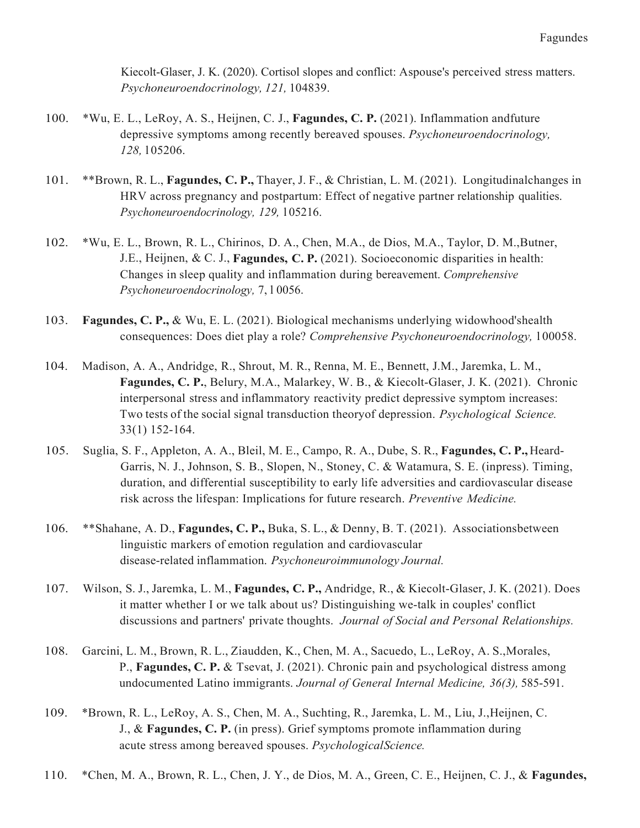Kiecolt-Glaser, J. K. (2020). Cortisol slopes and conflict: Aspouse's perceived stress matters. Psychoneuroendocrinology, 121, 104839.

- 100. \*Wu, E. L., LeRoy, A. S., Heijnen, C. J., Fagundes, C. P. (2021). Inflammation andfuture depressive symptoms among recently bereaved spouses. Psychoneuroendocrinology, 128, l 05206.
- 101. \*\*Brown, R. L., Fagundes, C. P., Thayer, J. F., & Christian, L. M. (2021). Longitudinalchanges in HRV across pregnancy and postpartum: Effect of negative partner relationship qualities. Psychoneuroendocrinology, 129, l 05216.
- 102. \*Wu, E. L., Brown, R. L., Chirinos, D. A., Chen, M.A., de Dios, M.A., Taylor, D. M.,Butner, J.E., Heijnen, & C. J., Fagundes, C. P. (2021). Socioeconomic disparities in health: Changes in sleep quality and inflammation during bereavement. Comprehensive Psychoneuroendocrinology, 7, l 0056.
- 103. Fagundes, C. P., & Wu, E. L. (2021). Biological mechanisms underlying widowhood'shealth consequences: Does diet play a role? Comprehensive Psychoneuroendocrinology, 100058.
- 104. Madison, A. A., Andridge, R., Shrout, M. R., Renna, M. E., Bennett, J.M., Jaremka, L. M., Fagundes, C. P., Belury, M.A., Malarkey, W. B., & Kiecolt-Glaser, J. K. (2021). Chronic interpersonal stress and inflammatory reactivity predict depressive symptom increases: Two tests of the social signal transduction theoryof depression. Psychological Science. 33(1) 152-164.
- 105. Suglia, S. F., Appleton, A. A., Bleil, M. E., Campo, R. A., Dube, S. R., Fagundes, C. P., Heard- Garris, N. J., Johnson, S. B., Slopen, N., Stoney, C. & Watamura, S. E. (inpress). Timing, duration, and differential susceptibility to early life adversities and cardiovascular disease risk across the lifespan: Implications for future research. Preventive Medicine.
- 106. \*\* Shahane, A. D., Fagundes, C. P., Buka, S. L., & Denny, B. T. (2021). Associationsbetween linguistic markers of emotion regulation and cardiovascular disease-related inflammation. Psychoneuroimmunology Journal.
- 107. Wilson, S. J., Jaremka, L. M., Fagundes, C. P., Andridge, R., & Kiecolt-Glaser, J. K. (2021). Does it matter whether I or we talk about us? Distinguishing we-talk in couples' conflict discussions and partners' private thoughts. Journal of Social and Personal Relationships.
- 108. Garcini, L. M., Brown, R. L., Ziaudden, K., Chen, M. A., Sacuedo, L., LeRoy, A. S.,Morales, P., Fagundes, C. P. & Tsevat, J. (2021). Chronic pain and psychological distress among undocumented Latino immigrants. Journal of General Internal Medicine, 36(3), 585-591.
- 109. \*Brown, R. L., LeRoy, A. S., Chen, M. A., Suchting, R., Jaremka, L. M., Liu, J.,Heijnen, C. J., & Fagundes, C. P. (in press). Grief symptoms promote inflammation during acute stress among bereaved spouses. PsychologicalScience.
- 110. \* Chen, M. A., Brown, R. L., Chen, J. Y., de Dios, M. A., Green, C. E., Heijnen, C. J., & Fagundes,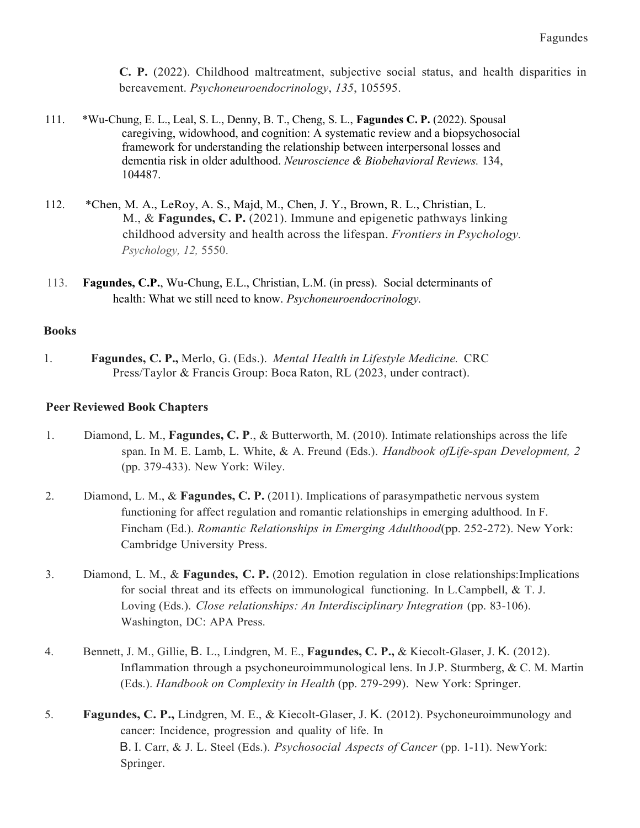C. P. (2022). Childhood maltreatment, subjective social status, and health disparities in bereavement. Psychoneuroendocrinology, 135, 105595.

- 111. \*Wu-Chung, E. L., Leal, S. L., Denny, B. T., Cheng, S. L., Fagundes C. P. (2022). Spousal caregiving, widowhood, and cognition: A systematic review and a biopsychosocial framework for understanding the relationship between interpersonal losses and dementia risk in older adulthood. Neuroscience & Biobehavioral Reviews. 134, 104487.
- 112. \*Chen, M. A., LeRoy, A. S., Majd, M., Chen, J. Y., Brown, R. L., Christian, L. M., & Fagundes, C. P. (2021). Immune and epigenetic pathways linking childhood adversity and health across the lifespan. Frontiers in Psychology. Psychology, 12, 5550.
- 113. Fagundes, C.P., Wu-Chung, E.L., Christian, L.M. (in press). Social determinants of health: What we still need to know. Psychoneuroendocrinology.

# Books

1. Press/Taylor & Francis Group: Boca Raton, RL (2023, under contract). 1. Fagundes, C. P., Merlo, G. (Eds.). Mental Health in Lifestyle Medicine. CRC

# Peer Reviewed Book Chapters

- 1. Diamond, L. M., Fagundes, C. P., & Butterworth, M. (2010). Intimate relationships across the life span. In M. E. Lamb, L. White, & A. Freund (Eds.). Handbook of Life-span Development, 2 (pp. 379-433). New York: Wiley.
- 2. Diamond, L. M., & Fagundes, C. P. (2011). Implications of parasympathetic nervous system functioning for affect regulation and romantic relationships in emerging adulthood. In F. Fincham (Ed.). Romantic Relationships in Emerging Adulthood(pp. 252-272). New York: Cambridge University Press.
- 3. Diamond, L. M., & Fagundes, C. P. (2012). Emotion regulation in close relationships: Implications for social threat and its effects on immunological functioning. In L.Campbell, & T. J. Loving (Eds.). Close relationships: An Interdisciplinary Integration (pp. 83-106). Washington, DC: APA Press.
- 4. Bennett, J. M., Gillie, B. L., Lindgren, M. E., Fagundes, C. P., & Kiecolt-Glaser, J. K. (2012). Inflammation through a psychoneuroimmunological lens. In J.P. Sturmberg, & C. M. Martin (Eds.). Handbook on Complexity in Health (pp. 279-299). New York: Springer.
- 5. Fagundes, C. P., Lindgren, M. E., & Kiecolt-Glaser, J. K. (2012). Psychoneuroimmunology and cancer: Incidence, progression and quality of life. In B. I. Carr, & J. L. Steel (Eds.). Psychosocial Aspects of Cancer (pp. 1-11). NewYork: Springer.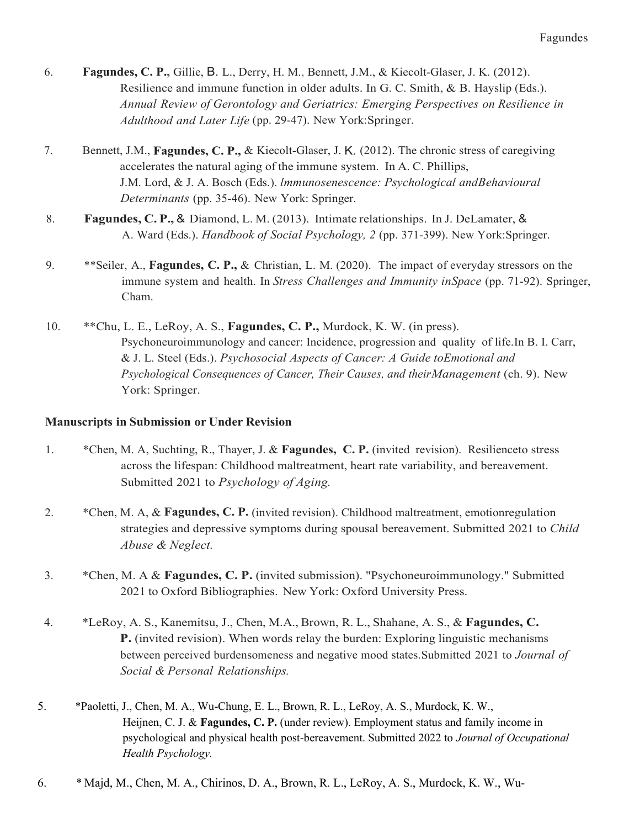- 6. Fagundes, C. P., Gillie, B. L., Derry, H. M., Bennett, J.M., & Kiecolt-Glaser, J. K. (2012). Resilience and immune function in older adults. In G. C. Smith, & B. Hayslip (Eds.). Annual Review of Gerontology and Geriatrics: Emerging Perspectives on Resilience in Adulthood and Later Life (pp. 29-47). New York:Springer.
- 7. Bennett, J.M., Fagundes, C. P., & Kiecolt-Glaser, J. K. (2012). The chronic stress of caregiving accelerates the natural aging of the immune system. In A. C. Phillips, J.M. Lord, & J. A. Bosch (Eds.). *Immunosenescence: Psychological andBehavioural* Determinants (pp. 35-46). New York: Springer.
- 8. Fagundes, C.P., & Diamond, L.M. (2013). Intimate relationships. In J. DeLamater, & A. Ward (Eds.). Handbook of Social Psychology, 2 (pp. 371-399). New York:Springer.
- 9. \*\*Seiler, A., Fagundes, C. P., & Christian, L. M. (2020). The impact of everyday stressors on the immune system and health. In Stress Challenges and Immunity inSpace (pp. 71-92). Springer, Cham.
- 10. \*\* Chu, L. E., LeRoy, A. S., Fagundes, C. P., Murdock, K. W. (in press). Psychoneuroimmunology and cancer: Incidence, progression and quality of life.In B. I. Carr, & J. L. Steel (Eds.). Psychosocial Aspects of Cancer: A Guide toEmotional and Psychological Consequences of Cancer, Their Causes, and theirManagement (ch. 9). New York: Springer.

# Manuscripts in Submission or Under Revision

- 1. \* Chen, M. A, Suchting, R., Thayer, J. & Fagundes, C. P. (invited revision). Resilienceto stress across the lifespan: Childhood maltreatment, heart rate variability, and bereavement. Submitted 2021 to Psychology of Aging.
- 2. \* Chen, M. A, & Fagundes, C. P. (invited revision). Childhood maltreatment, emotionregulation strategies and depressive symptoms during spousal bereavement. Submitted 2021 to Child Abuse & Neglect.
- 3. \* Chen, M. A & Fagundes, C. P. (invited submission). "Psychoneuroimmunology." Submitted 2021 to Oxford Bibliographies. New York: Oxford University Press.
- 4. \*LeRoy, A. S., Kanemitsu, J., Chen, M.A., Brown, R. L., Shahane, A. S., & Fagundes, C. P. (invited revision). When words relay the burden: Exploring linguistic mechanisms between perceived burdensomeness and negative mood states. Submitted 2021 to Journal of Social & Personal Relationships.
- 5. Heijnen, C. J. & Fagundes, C. P. (under review). Employment status and family income in psychological and physical health post-bereavement. Submitted 2022 to Journal of Occupational Health Psychology. 5. \*Paoletti, J., Chen, M. A., Wu-Chung, E. L., Brown, R. L., LeRoy, A. S., Murdock, K. W.,
- 6. 6. \* Majd, M., Chen, M. A., Chirinos, D. A., Brown, R. L., LeRoy, A. S., Murdock, K. W., Wu-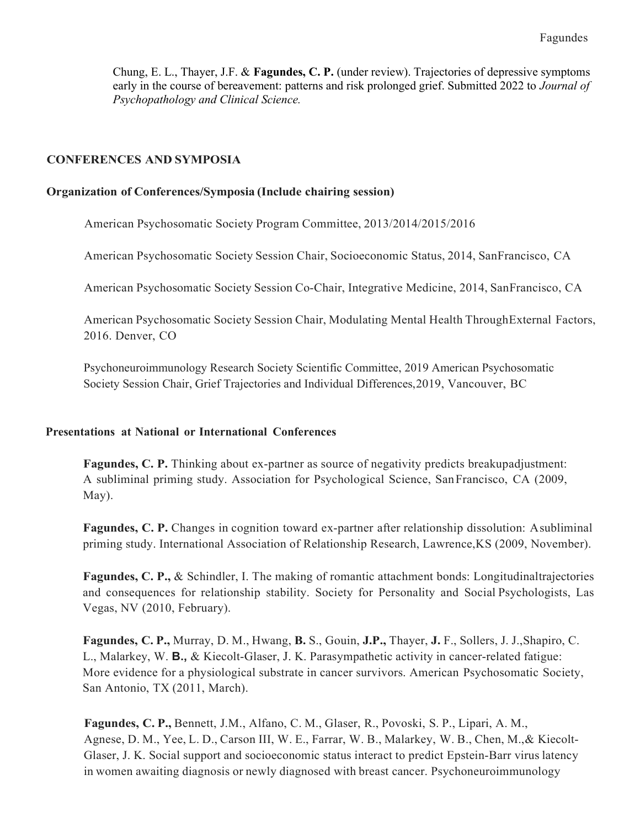Chung, E. L., Thayer, J.F. & Fagundes, C. P. (under review). Trajectories of depressive symptoms early in the course of bereavement: patterns and risk prolonged grief. Submitted 2022 to Journal of Psychopathology and Clinical Science.

## CONFERENCES AND SYMPOSIA

#### Organization of Conferences/Symposia (Include chairing session)

American Psychosomatic Society Program Committee, 2013/2014/2015/2016

American Psychosomatic Society Session Chair, Socioeconomic Status, 2014, SanFrancisco, CA

American Psychosomatic Society Session Co-Chair, Integrative Medicine, 2014, SanFrancisco, CA

 American Psychosomatic Society Session Chair, Modulating Mental Health ThroughExternal Factors, 2016. Denver, CO

 Psychoneuroimmunology Research Society Scientific Committee, 2019 American Psychosomatic Society Session Chair, Grief Trajectories and Individual Differences,2019, Vancouver, BC

#### Presentations at National or International Conferences

Fagundes, C. P. Thinking about ex-partner as source of negativity predicts breakupadjustment: A subliminal priming study. Association for Psychological Science, SanFrancisco, CA (2009, May).

 Fagundes, C. P. Changes in cognition toward ex-partner after relationship dissolution: Asubliminal priming study. International Association of Relationship Research, Lawrence,KS (2009, November).

Fagundes, C. P., & Schindler, I. The making of romantic attachment bonds: Longitudinaltrajectories and consequences for relationship stability. Society for Personality and Social Psychologists, Las Vegas, NV (2010, February).

Fagundes, C. P., Murray, D. M., Hwang, B. S., Gouin, J.P., Thayer, J. F., Sollers, J. J., Shapiro, C. L., Malarkey, W. B., & Kiecolt-Glaser, J. K. Parasympathetic activity in cancer-related fatigue: More evidence for a physiological substrate in cancer survivors. American Psychosomatic Society, San Antonio, TX (2011, March).

 Fagundes, C. P., Bennett, J.M., Alfano, C. M., Glaser, R., Povoski, S. P., Lipari, A. M., Agnese, D. M., Yee, L. D., Carson III, W. E., Farrar, W. B., Malarkey, W. B., Chen, M.,& Kiecolt- Glaser, J. K. Social support and socioeconomic status interact to predict Epstein-Barr virus latency in women awaiting diagnosis or newly diagnosed with breast cancer. Psychoneuroimmunology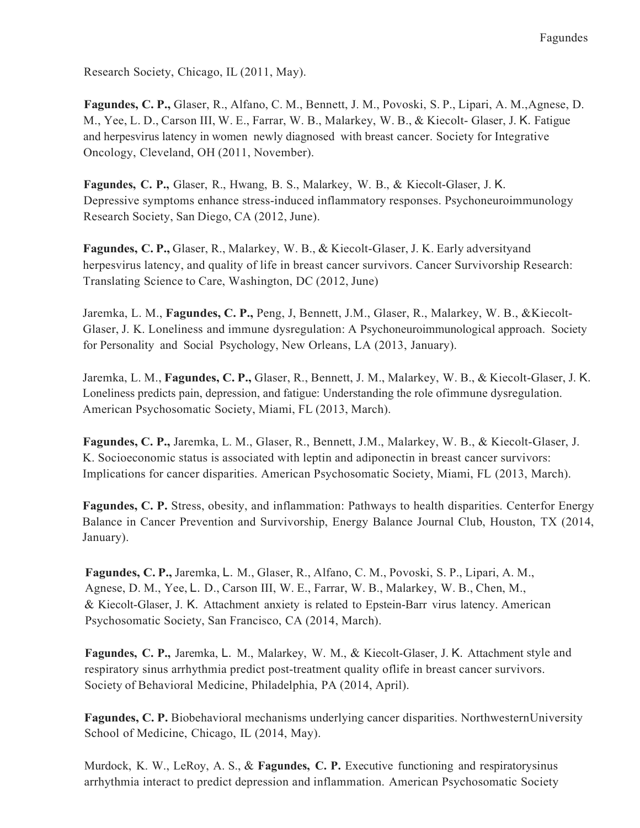Research Society, Chicago, IL (2011, May).

 Fagundes, C. P., Glaser, R., Alfano, C. M., Bennett, J. M., Povoski, S. P., Lipari, A. M.,Agnese, D. M., Yee, L. D., Carson III, W. E., Farrar, W. B., Malarkey, W. B., & Kiecolt- Glaser, J. K. Fatigue and herpesvirus latency in women newly diagnosed with breast cancer. Society for Integrative Oncology, Cleveland, OH (2011, November).

 Fagundes, C. P., Glaser, R., Hwang, B. S., Malarkey, W. B., & Kiecolt-Glaser, J. K. Depressive symptoms enhance stress-induced inflammatory responses. Psychoneuroimmunology Research Society, San Diego, CA (2012, June).

 Fagundes, C. P., Glaser, R., Malarkey, W. B., & Kiecolt-Glaser, J. K. Early adversityand herpesvirus latency, and quality of life in breast cancer survivors. Cancer Survivorship Research: Translating Science to Care, Washington, DC (2012, June)

Jaremka, L. M., Fagundes, C. P., Peng, J, Bennett, J.M., Glaser, R., Malarkey, W. B., &Kiecolt- Glaser, J. K. Loneliness and immune dysregulation: A Psychoneuroimmunological approach. Society for Personality and Social Psychology, New Orleans, LA (2013, January).

Jaremka, L. M., Fagundes, C. P., Glaser, R., Bennett, J. M., Malarkey, W. B., & Kiecolt-Glaser, J. K. Loneliness predicts pain, depression, and fatigue: Understanding the role ofimmune dysregulation. American Psychosomatic Society, Miami, FL (2013, March).

 Fagundes, C. P., Jaremka, L. M., Glaser, R., Bennett, J.M., Malarkey, W. B., & Kiecolt-Glaser, J. K. Socioeconomic status is associated with leptin and adiponectin in breast cancer survivors: Implications for cancer disparities. American Psychosomatic Society, Miami, FL (2013, March).

Fagundes, C. P. Stress, obesity, and inflammation: Pathways to health disparities. Centerfor Energy Balance in Cancer Prevention and Survivorship, Energy Balance Journal Club, Houston, TX (2014, January).

 Fagundes, C. P., Jaremka, L. M., Glaser, R., Alfano, C. M., Povoski, S. P., Lipari, A. M., Agnese, D. M., Yee, L. D., Carson III, W. E., Farrar, W. B., Malarkey, W. B., Chen, M., & Kiecolt-Glaser, J. K. Attachment anxiety is related to Epstein-Barr virus latency. American Psychosomatic Society, San Francisco, CA (2014, March).

Fagundes, C. P., Jaremka, L. M., Malarkey, W. M., & Kiecolt-Glaser, J. K. Attachment style and respiratory sinus arrhythmia predict post-treatment quality oflife in breast cancer survivors. Society of Behavioral Medicine, Philadelphia, PA (2014, April).

Fagundes, C. P. Biobehavioral mechanisms underlying cancer disparities. NorthwesternUniversity School of Medicine, Chicago, IL (2014, May).

Murdock, K. W., LeRoy, A. S., & Fagundes, C. P. Executive functioning and respiratorysinus arrhythmia interact to predict depression and inflammation. American Psychosomatic Society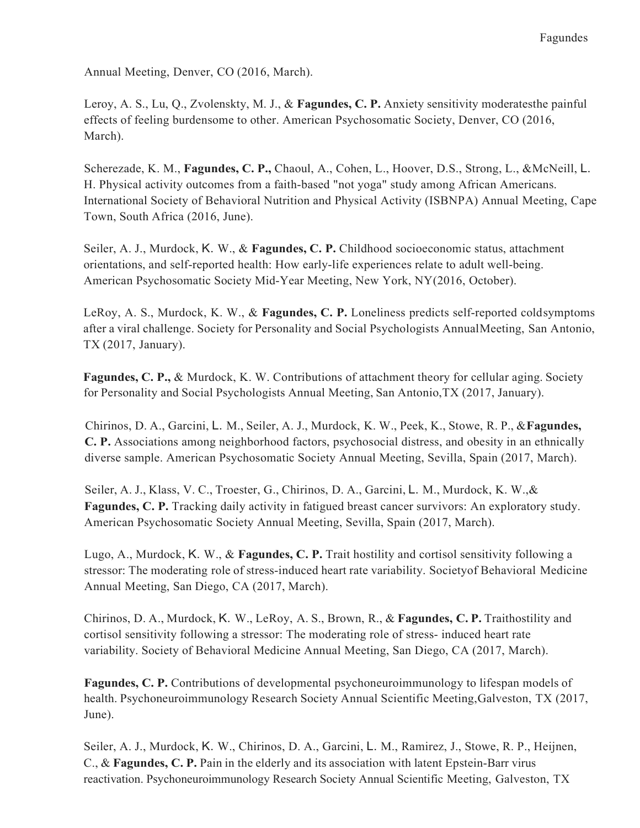Annual Meeting, Denver, CO (2016, March).

Leroy, A. S., Lu, Q., Zvolenskty, M. J., & Fagundes, C. P. Anxiety sensitivity moderatesthe painful effects of feeling burdensome to other. American Psychosomatic Society, Denver, CO (2016, March).

Scherezade, K. M., Fagundes, C. P., Chaoul, A., Cohen, L., Hoover, D.S., Strong, L., &McNeill, L. H. Physical activity outcomes from a faith-based "not yoga" study among African Americans. International Society of Behavioral Nutrition and Physical Activity (ISBNPA) Annual Meeting, Cape Town, South Africa (2016, June).

Seiler, A. J., Murdock, K. W., & Fagundes, C. P. Childhood socioeconomic status, attachment orientations, and self-reported health: How early-life experiences relate to adult well-being. American Psychosomatic Society Mid-Year Meeting, New York, NY(2016, October).

LeRoy, A. S., Murdock, K. W., & Fagundes, C. P. Loneliness predicts self-reported coldsymptoms after a viral challenge. Society for Personality and Social Psychologists AnnualMeeting, San Antonio, TX (2017, January).

Fagundes, C. P., & Murdock, K. W. Contributions of attachment theory for cellular aging. Society for Personality and Social Psychologists Annual Meeting, San Antonio,TX (2017, January).

Chirinos, D. A., Garcini, L. M., Seiler, A. J., Murdock, K. W., Peek, K., Stowe, R. P., & Fagundes, C. P. Associations among neighborhood factors, psychosocial distress, and obesity in an ethnically diverse sample. American Psychosomatic Society Annual Meeting, Sevilla, Spain (2017, March).

 Seiler, A. J., Klass, V. C., Troester, G., Chirinos, D. A., Garcini, L. M., Murdock, K. W.,& Fagundes, C. P. Tracking daily activity in fatigued breast cancer survivors: An exploratory study. American Psychosomatic Society Annual Meeting, Sevilla, Spain (2017, March).

Lugo, A., Murdock, K. W., & Fagundes, C. P. Trait hostility and cortisol sensitivity following a stressor: The moderating role of stress-induced heart rate variability. Societyof Behavioral Medicine Annual Meeting, San Diego, CA (2017, March).

Chirinos, D. A., Murdock, K. W., LeRoy, A. S., Brown, R., & Fagundes, C. P. Traithostility and cortisol sensitivity following a stressor: The moderating role of stress- induced heart rate variability. Society of Behavioral Medicine Annual Meeting, San Diego, CA (2017, March).

Fagundes, C. P. Contributions of developmental psychoneuroimmunology to lifespan models of health. Psychoneuroimmunology Research Society Annual Scientific Meeting,Galveston, TX (2017, June).

 Seiler, A. J., Murdock, K. W., Chirinos, D. A., Garcini, L. M., Ramirez, J., Stowe, R. P., Heijnen, C., & Fagundes, C. P. Pain in the elderly and its association with latent Epstein-Barr virus reactivation. Psychoneuroimmunology Research Society Annual Scientific Meeting, Galveston, TX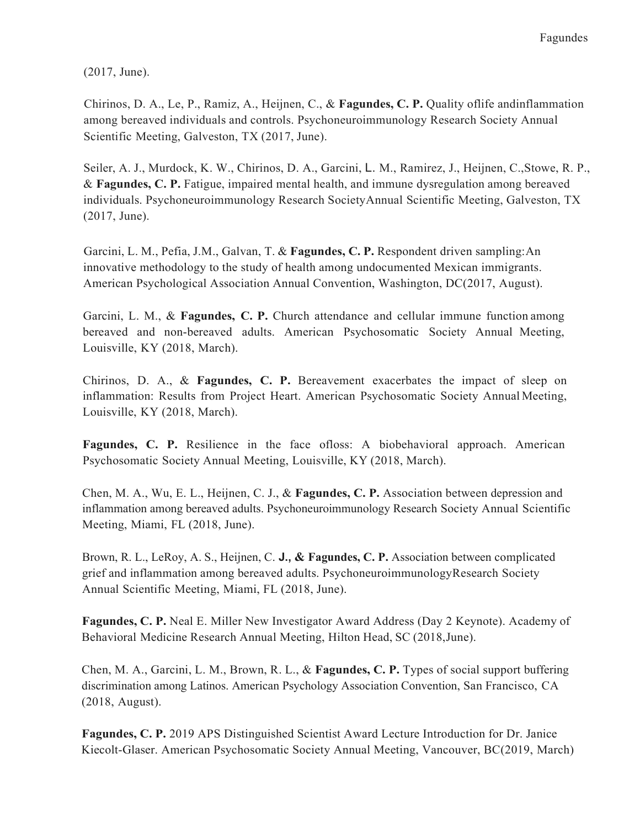(2017, June).

Chirinos, D. A., Le, P., Ramiz, A., Heijnen, C., & Fagundes, C. P. Quality oflife andinflammation among bereaved individuals and controls. Psychoneuroimmunology Research Society Annual Scientific Meeting, Galveston, TX (2017, June).

 Seiler, A. J., Murdock, K. W., Chirinos, D. A., Garcini, L. M., Ramirez, J., Heijnen, C.,Stowe, R. P., & Fagundes, C. P. Fatigue, impaired mental health, and immune dysregulation among bereaved individuals. Psychoneuroimmunology Research SocietyAnnual Scientific Meeting, Galveston, TX (2017, June).

Garcini, L. M., Pefia, J.M., Galvan, T. & Fagundes, C. P. Respondent driven sampling: An innovative methodology to the study of health among undocumented Mexican immigrants. American Psychological Association Annual Convention, Washington, DC(2017, August).

Garcini, L. M., & Fagundes, C. P. Church attendance and cellular immune function among bereaved and non-bereaved adults. American Psychosomatic Society Annual Meeting, Louisville, KY (2018, March).

Chirinos, D. A., & Fagundes, C. P. Bereavement exacerbates the impact of sleep on inflammation: Results from Project Heart. American Psychosomatic Society Annual Meeting, Louisville, KY (2018, March).

 Fagundes, C. P. Resilience in the face ofloss: A biobehavioral approach. American Psychosomatic Society Annual Meeting, Louisville, KY (2018, March).

 Chen, M. A., Wu, E. L., Heijnen, C. J., & Fagundes, C. P. Association between depression and inflammation among bereaved adults. Psychoneuroimmunology Research Society Annual Scientific Meeting, Miami, FL (2018, June).

Brown, R. L., LeRoy, A. S., Heijnen, C. J., & Fagundes, C. P. Association between complicated grief and inflammation among bereaved adults. PsychoneuroimmunologyResearch Society Annual Scientific Meeting, Miami, FL (2018, June).

Fagundes, C. P. Neal E. Miller New Investigator Award Address (Day 2 Keynote). Academy of Behavioral Medicine Research Annual Meeting, Hilton Head, SC (2018,June).

Chen, M. A., Garcini, L. M., Brown, R. L., & Fagundes, C. P. Types of social support buffering discrimination among Latinos. American Psychology Association Convention, San Francisco, CA (2018, August).

 Fagundes, C. P. 2019 APS Distinguished Scientist Award Lecture Introduction for Dr. Janice Kiecolt-Glaser. American Psychosomatic Society Annual Meeting, Vancouver, BC(2019, March)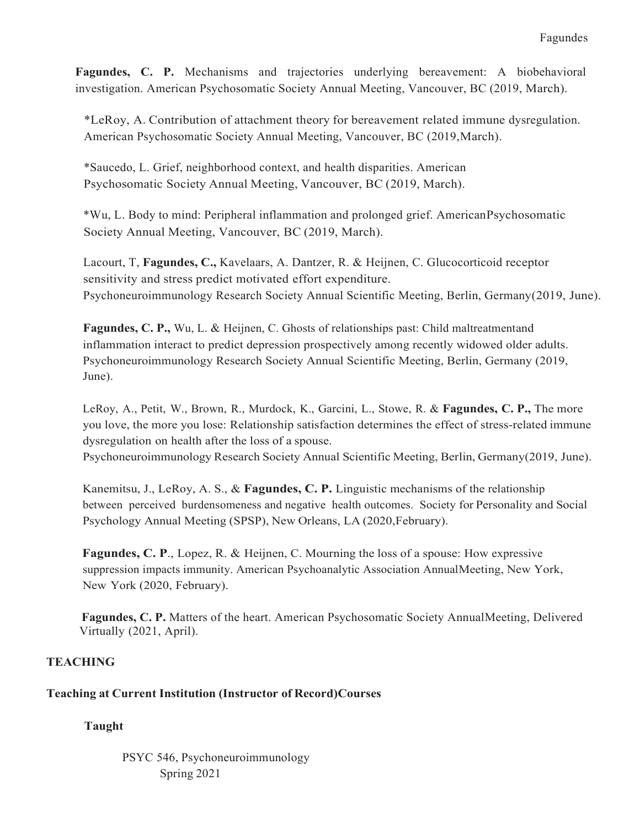Fagundes, C. P. Mechanisms and trajectories underlying bereavement: A biobehavioral investigation. American Psychosomatic Society Annual Meeting, Vancouver, BC (2019, March).

 \*LeRoy, A. Contribution of attachment theory for bereavement related immune dysregulation. American Psychosomatic Society Annual Meeting, Vancouver, BC (2019,March).

 \*Saucedo, L. Grief, neighborhood context, and health disparities. American Psychosomatic Society Annual Meeting, Vancouver, BC (2019, March).

 \*Wu, L. Body to mind: Peripheral inflammation and prolonged grief. AmericanPsychosomatic Society Annual Meeting, Vancouver, BC (2019, March).

Lacourt, T, Fagundes, C., Kavelaars, A. Dantzer, R. & Heijnen, C. Glucocorticoid receptor sensitivity and stress predict motivated effort expenditure. Psychoneuroimmunology Research Society Annual Scientific Meeting, Berlin, Germany(2019, June).

 Fagundes, C. P., Wu, L. & Heijnen, C. Ghosts of relationships past: Child maltreatmentand inflammation interact to predict depression prospectively among recently widowed older adults. Psychoneuroimmunology Research Society Annual Scientific Meeting, Berlin, Germany (2019, June).

LeRoy, A., Petit, W., Brown, R., Murdock, K., Garcini, L., Stowe, R. & Fagundes, C. P., The more you love, the more you lose: Relationship satisfaction determines the effect of stress-related immune dysregulation on health after the loss of a spouse.

Psychoneuroimmunology Research Society Annual Scientific Meeting, Berlin, Germany(2019, June).

Kanemitsu, J., LeRoy, A. S., & Fagundes, C. P. Linguistic mechanisms of the relationship between perceived burdensomeness and negative health outcomes. Society for Personality and Social Psychology Annual Meeting (SPSP), New Orleans, LA (2020,February).

Fagundes, C. P., Lopez, R. & Heijnen, C. Mourning the loss of a spouse: How expressive suppression impacts immunity. American Psychoanalytic Association AnnualMeeting, New York, New York (2020, February).

 Virtually (2021, April). Fagundes, C. P. Matters of the heart. American Psychosomatic Society AnnualMeeting, Delivered

# **TEACHING**

# Teaching at Current Institution (Instructor of Record)Courses

# Taught

 PSYC 546, Psychoneuroimmunology Spring 2021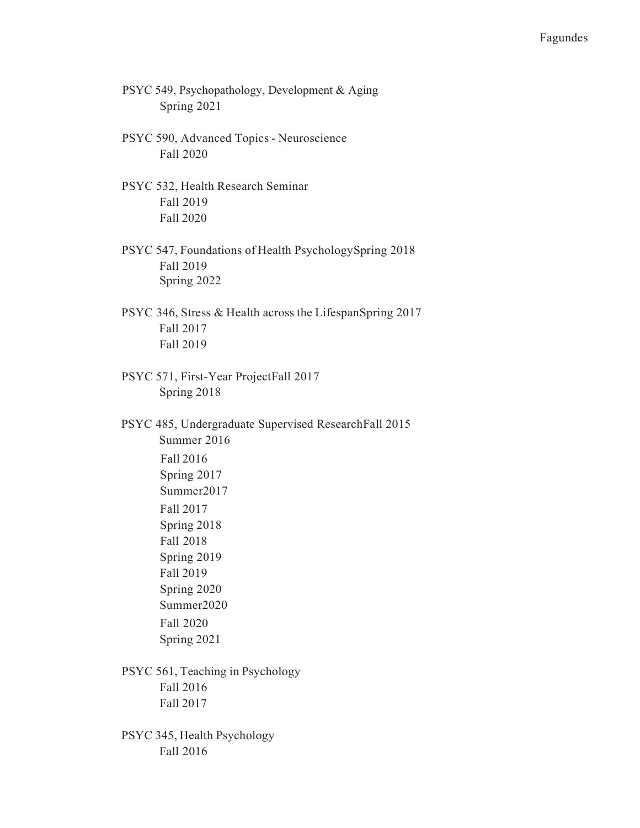- PSYC 549, Psychopathology, Development & Aging Spring 2021
- PSYC 590, Advanced Topics Neuroscience Fall 2020
- PSYC 532, Health Research Seminar Fall 2019 Fall 2020
- PSYC 547, Foundations of Health PsychologySpring 2018 Fall 2019 Spring 2022
- PSYC 346, Stress & Health across the LifespanSpring 2017 Fall 2017 Fall 2019
- PSYC 571, First-Year ProjectFall 2017 Spring 2018
- PSYC 485, Undergraduate Supervised ResearchFall 2015 Spring 2017 Summer2017 Spring 2020 Summer2020 Summer 2016 Fall 2016 Fall 2017 Spring 2018 Fall 2018 Spring 2019 Fall 2019
	- Fall 2020 Spring 2021
- PSYC 561, Teaching in Psychology Fall 2016 Fall 2017
- PSYC 345, Health Psychology Fall 2016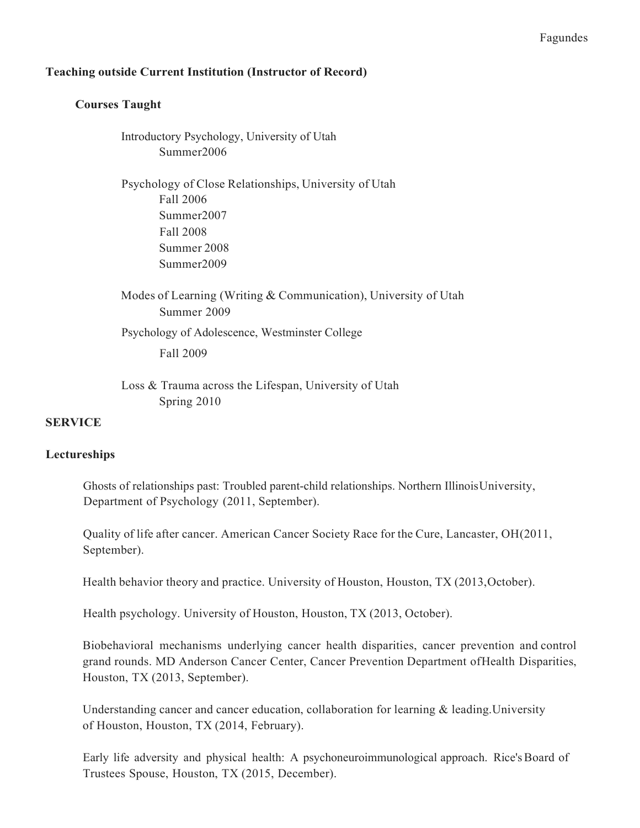#### Fagundes

## Teaching outside Current Institution (Instructor of Record)

## Courses Taught

 Introductory Psychology, University of Utah Summer2006

 Psychology of Close Relationships, University of Utah Fall 2008 Summer 2008 Fall 2006 Summer2007 Summer2009

 Modes of Learning (Writing & Communication), University of Utah Summer 2009 Psychology of Adolescence, Westminster College Fall 2009

 Loss & Trauma across the Lifespan, University of Utah Spring 2010

#### SERVICE

#### Lectureships

 Ghosts of relationships past: Troubled parent-child relationships. Northern IllinoisUniversity, Department of Psychology (2011, September).

 Quality of life after cancer. American Cancer Society Race for the Cure, Lancaster, OH(2011, September).

Health behavior theory and practice. University of Houston, Houston, TX (2013,October).

Health psychology. University of Houston, Houston, TX (2013, October).

 Biobehavioral mechanisms underlying cancer health disparities, cancer prevention and control grand rounds. MD Anderson Cancer Center, Cancer Prevention Department ofHealth Disparities, Houston, TX (2013, September).

 Understanding cancer and cancer education, collaboration for learning & leading.University of Houston, Houston, TX (2014, February).

 Early life adversity and physical health: A psychoneuroimmunological approach. Rice'sBoard of Trustees Spouse, Houston, TX (2015, December).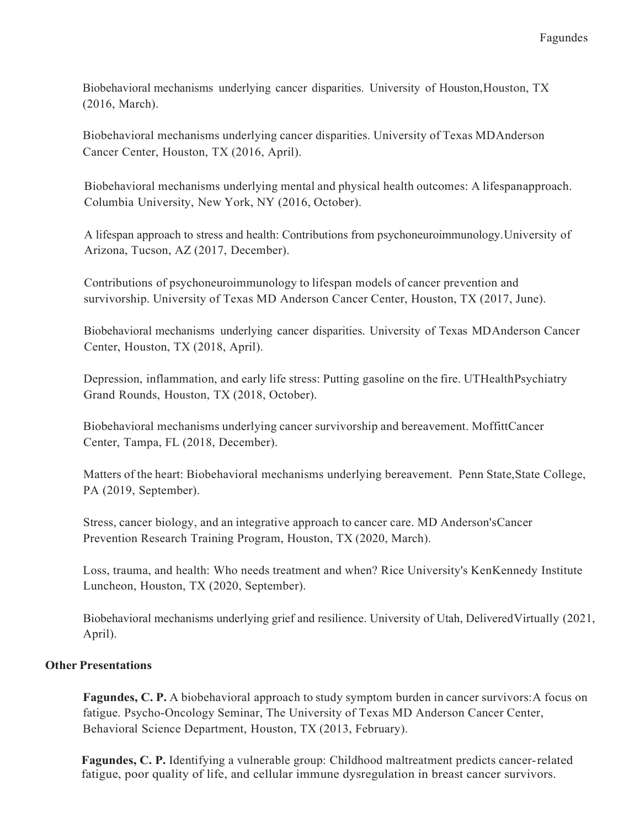Biobehavioral mechanisms underlying cancer disparities. University of Houston, Houston, TX (2016, March).

 Biobehavioral mechanisms underlying cancer disparities. University of Texas MDAnderson Cancer Center, Houston, TX (2016, April).

 Biobehavioral mechanisms underlying mental and physical health outcomes: A lifespanapproach. Columbia University, New York, NY (2016, October).

 A lifespan approach to stress and health: Contributions from psychoneuroimmunology.University of Arizona, Tucson, AZ (2017, December).

 Contributions of psychoneuroimmunology to lifespan models of cancer prevention and survivorship. University of Texas MD Anderson Cancer Center, Houston, TX (2017, June).

 Biobehavioral mechanisms underlying cancer disparities. University of Texas MDAnderson Cancer Center, Houston, TX (2018, April).

 Depression, inflammation, and early life stress: Putting gasoline on the fire. UTHealthPsychiatry Grand Rounds, Houston, TX (2018, October).

 Biobehavioral mechanisms underlying cancer survivorship and bereavement. MoffittCancer Center, Tampa, FL (2018, December).

 Matters of the heart: Biobehavioral mechanisms underlying bereavement. Penn State,State College, PA (2019, September).

 Stress, cancer biology, and an integrative approach to cancer care. MD Anderson'sCancer Prevention Research Training Program, Houston, TX (2020, March).

 Loss, trauma, and health: Who needs treatment and when? Rice University's KenKennedy Institute Luncheon, Houston, TX (2020, September).

 Biobehavioral mechanisms underlying grief and resilience. University of Utah, DeliveredVirtually (2021, April).

# Other Presentations

Fagundes, C. P. A biobehavioral approach to study symptom burden in cancer survivors: A focus on fatigue. Psycho-Oncology Seminar, The University of Texas MD Anderson Cancer Center, Behavioral Science Department, Houston, TX (2013, February).

Fagundes, C. P. Identifying a vulnerable group: Childhood maltreatment predicts cancer-related fatigue, poor quality of life, and cellular immune dysregulation in breast cancer survivors.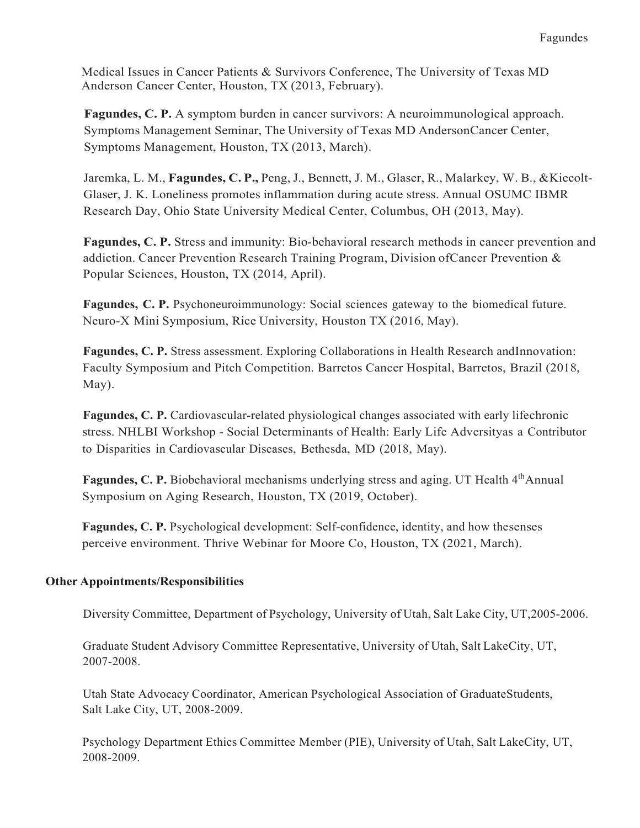Medical Issues in Cancer Patients & Survivors Conference, The University of Texas MD Anderson Cancer Center, Houston, TX (2013, February).

 Fagundes, C. P. A symptom burden in cancer survivors: A neuroimmunological approach. Symptoms Management Seminar, The University of Texas MD AndersonCancer Center, Symptoms Management, Houston, TX (2013, March).

Jaremka, L. M., Fagundes, C. P., Peng, J., Bennett, J. M., Glaser, R., Malarkey, W. B., &Kiecolt- Glaser, J. K. Loneliness promotes inflammation during acute stress. Annual OSUMC IBMR Research Day, Ohio State University Medical Center, Columbus, OH (2013, May).

Fagundes, C. P. Stress and immunity: Bio-behavioral research methods in cancer prevention and addiction. Cancer Prevention Research Training Program, Division ofCancer Prevention & Popular Sciences, Houston, TX (2014, April).

Fagundes, C. P. Psychoneuroimmunology: Social sciences gateway to the biomedical future. Neuro-X Mini Symposium, Rice University, Houston TX (2016, May).

 Fagundes, C. P. Stress assessment. Exploring Collaborations in Health Research andInnovation: Faculty Symposium and Pitch Competition. Barretos Cancer Hospital, Barretos, Brazil (2018, May).

Fagundes, C. P. Cardiovascular-related physiological changes associated with early lifechronic stress. NHLBI Workshop - Social Determinants of Health: Early Life Adversityas a Contributor to Disparities in Cardiovascular Diseases, Bethesda, MD (2018, May).

Fagundes, C. P. Biobehavioral mechanisms underlying stress and aging. UT Health 4thAnnual Symposium on Aging Research, Houston, TX (2019, October).

 Fagundes, C. P. Psychological development: Self-confidence, identity, and how thesenses perceive environment. Thrive Webinar for Moore Co, Houston, TX (2021, March).

# Other Appointments/Responsibilities

Diversity Committee, Department of Psychology, University of Utah, Salt Lake City, UT,2005-2006.

 Graduate Student Advisory Committee Representative, University of Utah, Salt LakeCity, UT, 2007-2008.

 Utah State Advocacy Coordinator, American Psychological Association of GraduateStudents, Salt Lake City, UT, 2008-2009.

 Psychology Department Ethics Committee Member (PIE), University of Utah, Salt LakeCity, UT, 2008-2009.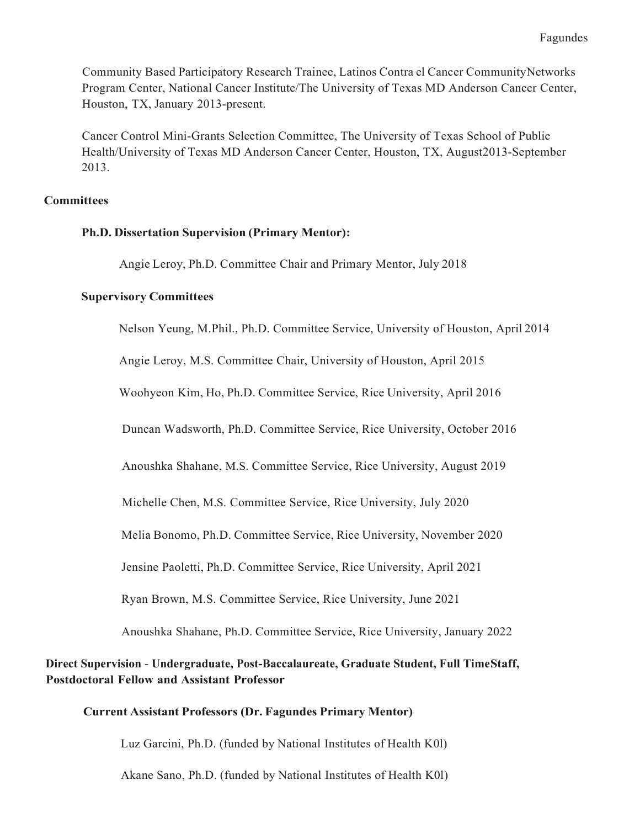Community Based Participatory Research Trainee, Latinos Contra el Cancer CommunityNetworks Program Center, National Cancer Institute/The University of Texas MD Anderson Cancer Center, Houston, TX, January 2013-present.

 Cancer Control Mini-Grants Selection Committee, The University of Texas School of Public Health/University of Texas MD Anderson Cancer Center, Houston, TX, August2013-September 2013.

## **Committees**

## Ph.D. Dissertation Supervision (Primary Mentor):

Angie Leroy, Ph.D. Committee Chair and Primary Mentor, July 2018

## Supervisory Committees

Nelson Yeung, M.Phil., Ph.D. Committee Service, University of Houston, April 2014

Angie Leroy, M.S. Committee Chair, University of Houston, April 2015

Woohyeon Kim, Ho, Ph.D. Committee Service, Rice University, April 2016

Duncan Wadsworth, Ph.D. Committee Service, Rice University, October 2016

Anoushka Shahane, M.S. Committee Service, Rice University, August 2019

Michelle Chen, M.S. Committee Service, Rice University, July 2020

Melia Bonomo, Ph.D. Committee Service, Rice University, November 2020

Jensine Paoletti, Ph.D. Committee Service, Rice University, April 2021

Ryan Brown, M.S. Committee Service, Rice University, June 2021

Anoushka Shahane, Ph.D. Committee Service, Rice University, January 2022

# Direct Supervision - Undergraduate, Post-Baccalaureate, Graduate Student, Full TimeStaff, Postdoctoral Fellow and Assistant Professor

# Current Assistant Professors (Dr. Fagundes Primary Mentor)

Luz Garcini, Ph.D. (funded by National Institutes of Health K0l)

Akane Sano, Ph.D. (funded by National Institutes of Health K0l)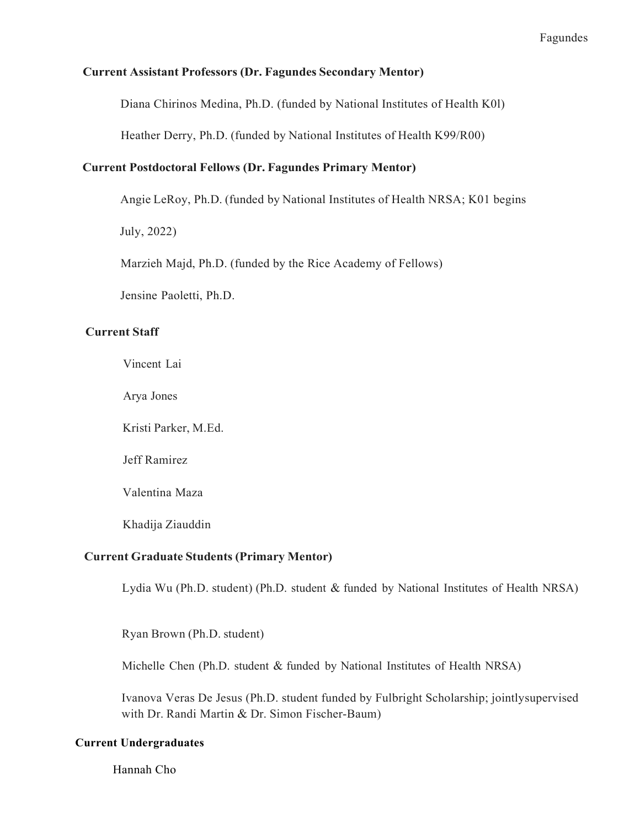### Current Assistant Professors (Dr. Fagundes Secondary Mentor)

Diana Chirinos Medina, Ph.D. (funded by National Institutes of Health K0l)

Heather Derry, Ph.D. (funded by National Institutes of Health K99/R00)

# Current Postdoctoral Fellows (Dr. Fagundes Primary Mentor)

Angie LeRoy, Ph.D. (funded by National Institutes of Health NRSA; K01 begins

July, 2022)

Marzieh Majd, Ph.D. (funded by the Rice Academy of Fellows)

Jensine Paoletti, Ph.D.

#### Current Staff

Vincent Lai

Arya Jones

Kristi Parker, M.Ed.

Jeff Ramirez

Valentina Maza

Khadija Ziauddin

## Current Graduate Students (Primary Mentor)

Lydia Wu (Ph.D. student) (Ph.D. student & funded by National Institutes of Health NRSA)

Ryan Brown (Ph.D. student)

Michelle Chen (Ph.D. student & funded by National Institutes of Health NRSA)

 Ivanova Veras De Jesus (Ph.D. student funded by Fulbright Scholarship; jointlysupervised with Dr. Randi Martin & Dr. Simon Fischer-Baum)

#### Current Undergraduates

Hannah Cho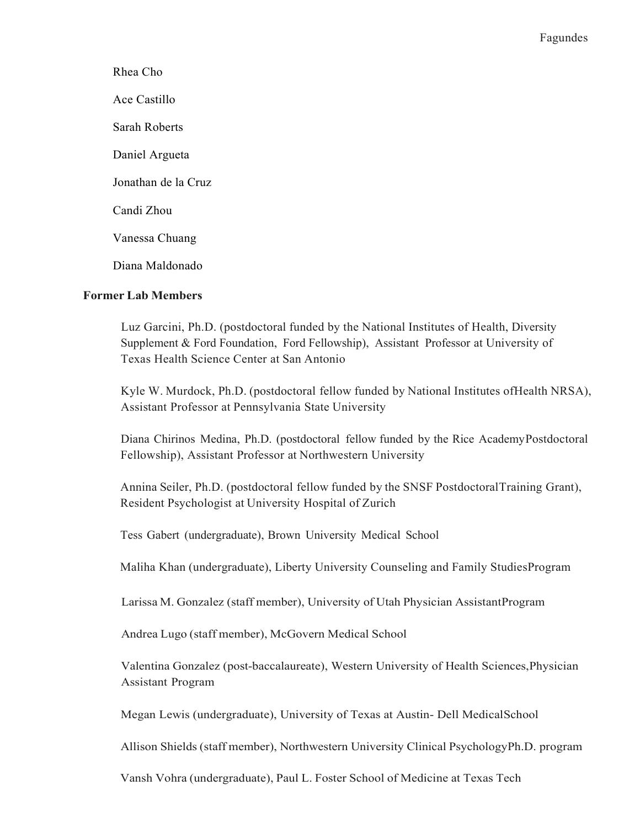Sarah Roberts Daniel Argueta Jonathan de la Cruz Candi Zhou Vanessa Chuang Diana Maldonado Rhea Cho Ace Castillo

# Former Lab Members

 Luz Garcini, Ph.D. (postdoctoral funded by the National Institutes of Health, Diversity Supplement & Ford Foundation, Ford Fellowship), Assistant Professor at University of Texas Health Science Center at San Antonio

 Kyle W. Murdock, Ph.D. (postdoctoral fellow funded by National Institutes ofHealth NRSA), Assistant Professor at Pennsylvania State University

 Diana Chirinos Medina, Ph.D. (postdoctoral fellow funded by the Rice AcademyPostdoctoral Fellowship), Assistant Professor at Northwestern University

 Annina Seiler, Ph.D. (postdoctoral fellow funded by the SNSF PostdoctoralTraining Grant), Resident Psychologist at University Hospital of Zurich

Tess Gabert (undergraduate), Brown University Medical School

Maliha Khan (undergraduate), Liberty University Counseling and Family StudiesProgram

Larissa M. Gonzalez (staff member), University of Utah Physician AssistantProgram

Andrea Lugo (staff member), McGovern Medical School

 Valentina Gonzalez (post-baccalaureate), Western University of Health Sciences,Physician Assistant Program

Megan Lewis (undergraduate), University of Texas at Austin- Dell MedicalSchool

Allison Shields (staff member), Northwestern University Clinical PsychologyPh.D. program

Vansh Vohra (undergraduate), Paul L. Foster School of Medicine at Texas Tech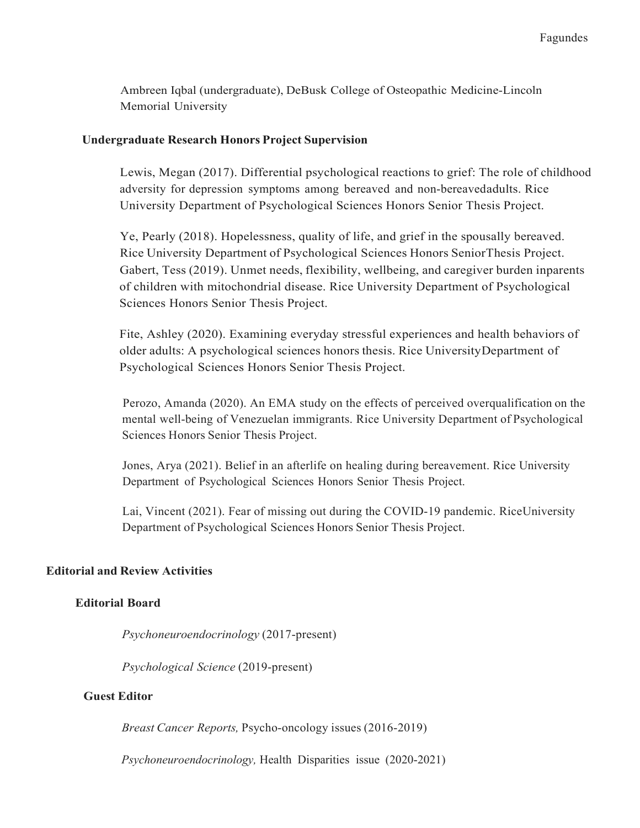Ambreen Iqbal (undergraduate), DeBusk College of Osteopathic Medicine-Lincoln Memorial University

## Undergraduate Research Honors Project Supervision

 Lewis, Megan (2017). Differential psychological reactions to grief: The role of childhood adversity for depression symptoms among bereaved and non-bereavedadults. Rice University Department of Psychological Sciences Honors Senior Thesis Project.

 Ye, Pearly (2018). Hopelessness, quality of life, and grief in the spousally bereaved. Rice University Department of Psychological Sciences Honors SeniorThesis Project. Gabert, Tess (2019). Unmet needs, flexibility, wellbeing, and caregiver burden inparents of children with mitochondrial disease. Rice University Department of Psychological Sciences Honors Senior Thesis Project.

 Fite, Ashley (2020). Examining everyday stressful experiences and health behaviors of older adults: A psychological sciences honors thesis. Rice UniversityDepartment of Psychological Sciences Honors Senior Thesis Project.

 Perozo, Amanda (2020). An EMA study on the effects of perceived overqualification on the mental well-being of Venezuelan immigrants. Rice University Department of Psychological Sciences Honors Senior Thesis Project.

 Jones, Arya (2021). Belief in an afterlife on healing during bereavement. Rice University Department of Psychological Sciences Honors Senior Thesis Project.

 Lai, Vincent (2021). Fear of missing out during the COVID-19 pandemic. RiceUniversity Department of Psychological Sciences Honors Senior Thesis Project.

# Editorial and Review Activities

# Editorial Board

Psychoneuroendocrinology (2017-present)

Psychological Science (2019-present)

#### Guest Editor

Breast Cancer Reports, Psycho-oncology issues (2016-2019)

Psychoneuroendocrinology, Health Disparities issue (2020-2021)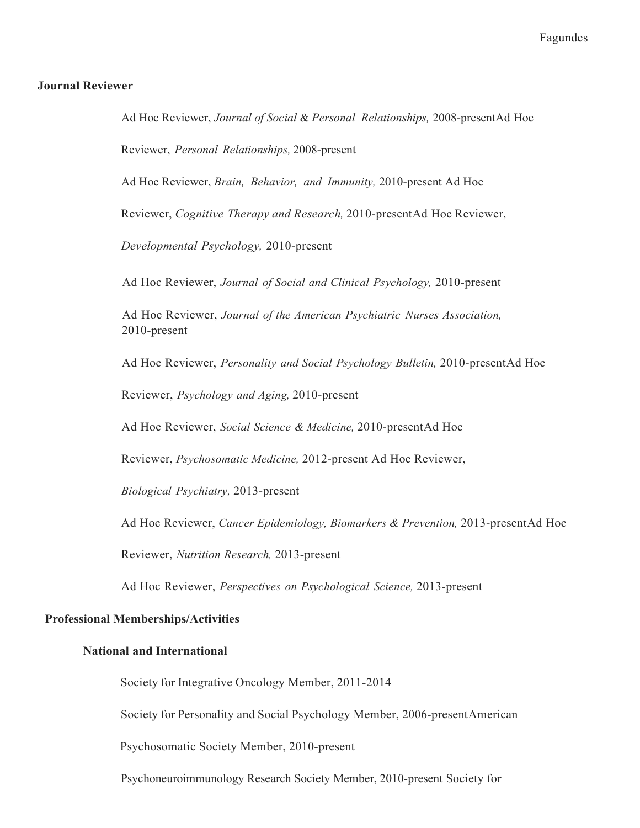#### Journal Reviewer

Ad Hoc Reviewer, Journal of Social & Personal Relationships, 2008-presentAd Hoc Reviewer, Personal Relationships, 2008-present

Ad Hoc Reviewer, Brain, Behavior, and Immunity, 2010-present Ad Hoc

Reviewer, Cognitive Therapy and Research, 2010-presentAd Hoc Reviewer,

Developmental Psychology, 2010-present

Ad Hoc Reviewer, Journal of Social and Clinical Psychology, 2010-present

Ad Hoc Reviewer, Journal of the American Psychiatric Nurses Association, 2010-present

Ad Hoc Reviewer, Personality and Social Psychology Bulletin, 2010-presentAd Hoc

Reviewer, Psychology and Aging, 2010-present

Ad Hoc Reviewer, Social Science & Medicine, 2010-presentAd Hoc

Reviewer, Psychosomatic Medicine, 2012-present Ad Hoc Reviewer,

Biological Psychiatry, 2013-present

Ad Hoc Reviewer, Cancer Epidemiology, Biomarkers & Prevention, 2013-presentAd Hoc

Reviewer, Nutrition Research, 2013-present

Ad Hoc Reviewer, Perspectives on Psychological Science, 2013-present

#### Professional Memberships/Activities

#### National and International

Society for Integrative Oncology Member, 2011-2014

Society for Personality and Social Psychology Member, 2006-presentAmerican

Psychosomatic Society Member, 2010-present

Psychoneuroimmunology Research Society Member, 2010-present Society for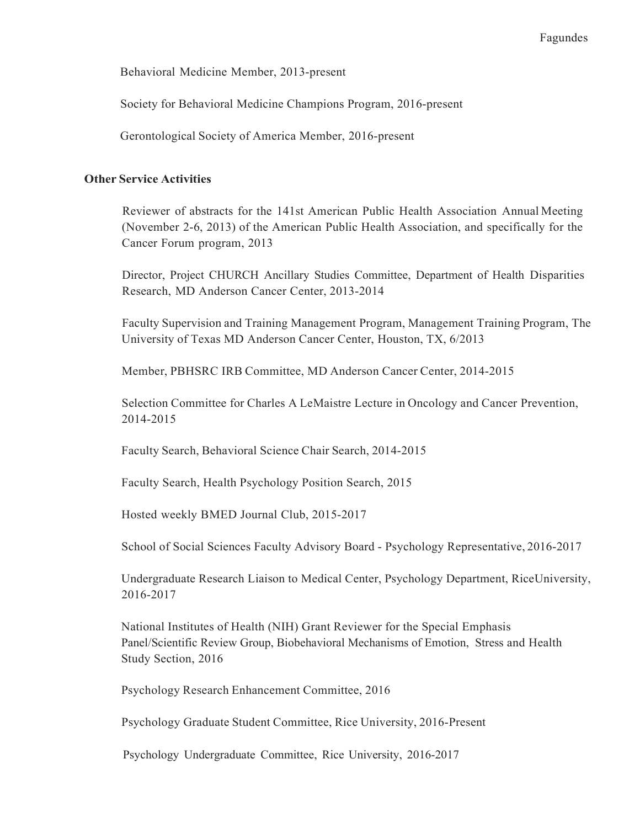Behavioral Medicine Member, 2013-present

Society for Behavioral Medicine Champions Program, 2016-present

Gerontological Society of America Member, 2016-present

## Other Service Activities

 Reviewer of abstracts for the 141st American Public Health Association Annual Meeting (November 2-6, 2013) of the American Public Health Association, and specifically for the Cancer Forum program, 2013

 Director, Project CHURCH Ancillary Studies Committee, Department of Health Disparities Research, MD Anderson Cancer Center, 2013-2014

 Faculty Supervision and Training Management Program, Management Training Program, The University of Texas MD Anderson Cancer Center, Houston, TX, 6/2013

Member, PBHSRC IRB Committee, MD Anderson Cancer Center, 2014-2015

 Selection Committee for Charles A LeMaistre Lecture in Oncology and Cancer Prevention, 2014-2015

Faculty Search, Behavioral Science Chair Search, 2014-2015

Faculty Search, Health Psychology Position Search, 2015

Hosted weekly BMED Journal Club, 2015-2017

School of Social Sciences Faculty Advisory Board - Psychology Representative, 2016-2017

 Undergraduate Research Liaison to Medical Center, Psychology Department, RiceUniversity, 2016-2017

 National Institutes of Health (NIH) Grant Reviewer for the Special Emphasis Panel/Scientific Review Group, Biobehavioral Mechanisms of Emotion, Stress and Health Study Section, 2016

Psychology Research Enhancement Committee, 2016

Psychology Graduate Student Committee, Rice University, 2016-Present

Psychology Undergraduate Committee, Rice University, 2016-2017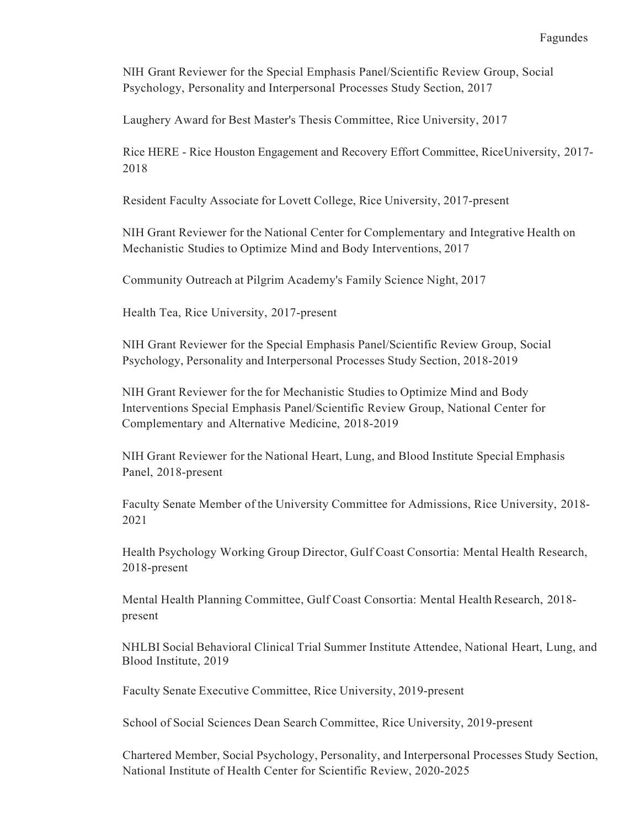NIH Grant Reviewer for the Special Emphasis Panel/Scientific Review Group, Social Psychology, Personality and Interpersonal Processes Study Section, 2017

Laughery Award for Best Master's Thesis Committee, Rice University, 2017

 Rice HERE - Rice Houston Engagement and Recovery Effort Committee, RiceUniversity, 2017- 2018

Resident Faculty Associate for Lovett College, Rice University, 2017-present

 NIH Grant Reviewer for the National Center for Complementary and Integrative Health on Mechanistic Studies to Optimize Mind and Body Interventions, 2017

Community Outreach at Pilgrim Academy's Family Science Night, 2017

Health Tea, Rice University, 2017-present

 NIH Grant Reviewer for the Special Emphasis Panel/Scientific Review Group, Social Psychology, Personality and Interpersonal Processes Study Section, 2018-2019

 NIH Grant Reviewer for the for Mechanistic Studies to Optimize Mind and Body Interventions Special Emphasis Panel/Scientific Review Group, National Center for Complementary and Alternative Medicine, 2018-2019

 NIH Grant Reviewer for the National Heart, Lung, and Blood Institute Special Emphasis Panel, 2018-present

 Faculty Senate Member of the University Committee for Admissions, Rice University, 2018- 2021

 Health Psychology Working Group Director, Gulf Coast Consortia: Mental Health Research, 2018-present

Mental Health Planning Committee, Gulf Coast Consortia: Mental Health Research, 2018present

 NHLBI Social Behavioral Clinical Trial Summer Institute Attendee, National Heart, Lung, and Blood Institute, 2019

Faculty Senate Executive Committee, Rice University, 2019-present

School of Social Sciences Dean Search Committee, Rice University, 2019-present

 Chartered Member, Social Psychology, Personality, and Interpersonal Processes Study Section, National Institute of Health Center for Scientific Review, 2020-2025